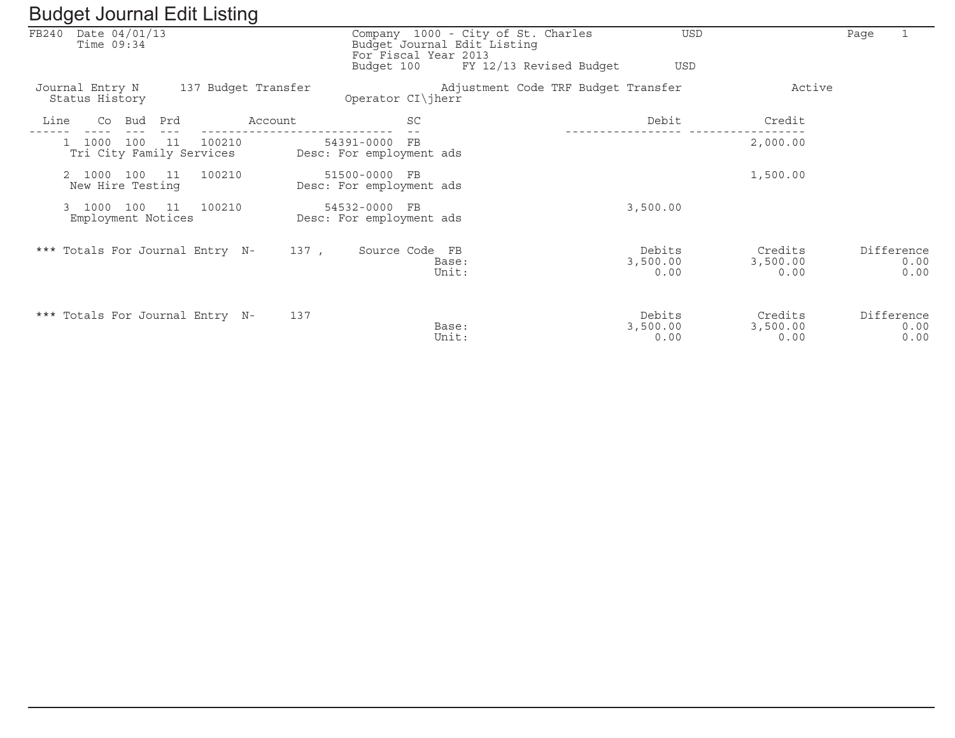|       | ັ                                          |     |     |                                    | ັ                   |                                           |                |                                                                                                                      |                            |                             |      |                            |
|-------|--------------------------------------------|-----|-----|------------------------------------|---------------------|-------------------------------------------|----------------|----------------------------------------------------------------------------------------------------------------------|----------------------------|-----------------------------|------|----------------------------|
| FB240 | Date $04/01/13$<br>Time $09:34$            |     |     |                                    |                     | Budget 100                                |                | Company 1000 - City of St. Charles<br>Budget Journal Edit Listing<br>For Fiscal Year 2013<br>FY 12/13 Revised Budget | <b>USD</b><br><b>USD</b>   |                             | Page |                            |
|       | Journal Entry N<br>Status History          |     |     |                                    | 137 Budget Transfer | Operator CI\jherr                         |                | Adjustment Code TRF Budget Transfer                                                                                  |                            | Active                      |      |                            |
| Line  | Co                                         | Bud | Prd |                                    | Account             |                                           | SC             |                                                                                                                      | Debit                      | Credit                      |      |                            |
|       | 1000                                       | 100 | 11  | 100210<br>Tri City Family Services |                     | 54391-0000<br>Desc: For employment ads    | FB             |                                                                                                                      |                            | 2,000.00                    |      |                            |
|       | 2 1000<br>New Hire Testing                 | 100 | 11  | 100210                             |                     | 51500-0000 FB<br>Desc: For employment ads |                |                                                                                                                      |                            | 1,500.00                    |      |                            |
|       | 1000<br>$\mathbf{3}$<br>Employment Notices | 100 | 11  | 100210                             |                     | 54532-0000 FB<br>Desc: For employment ads |                |                                                                                                                      | 3,500.00                   |                             |      |                            |
|       |                                            |     |     | *** Totals For Journal Entry N-    | 137,                |                                           | Source Code FB | Base:<br>Unit:                                                                                                       | Debits<br>3,500.00<br>0.00 | Credits<br>3,500.00<br>0.00 |      | Difference<br>0.00<br>0.00 |
|       |                                            |     |     | *** Totals For Journal Entry N-    | 137                 |                                           |                | Base:<br>Unit:                                                                                                       | Debits<br>3,500.00<br>0.00 | Credits<br>3,500.00<br>0.00 |      | Difference<br>0.00<br>0.00 |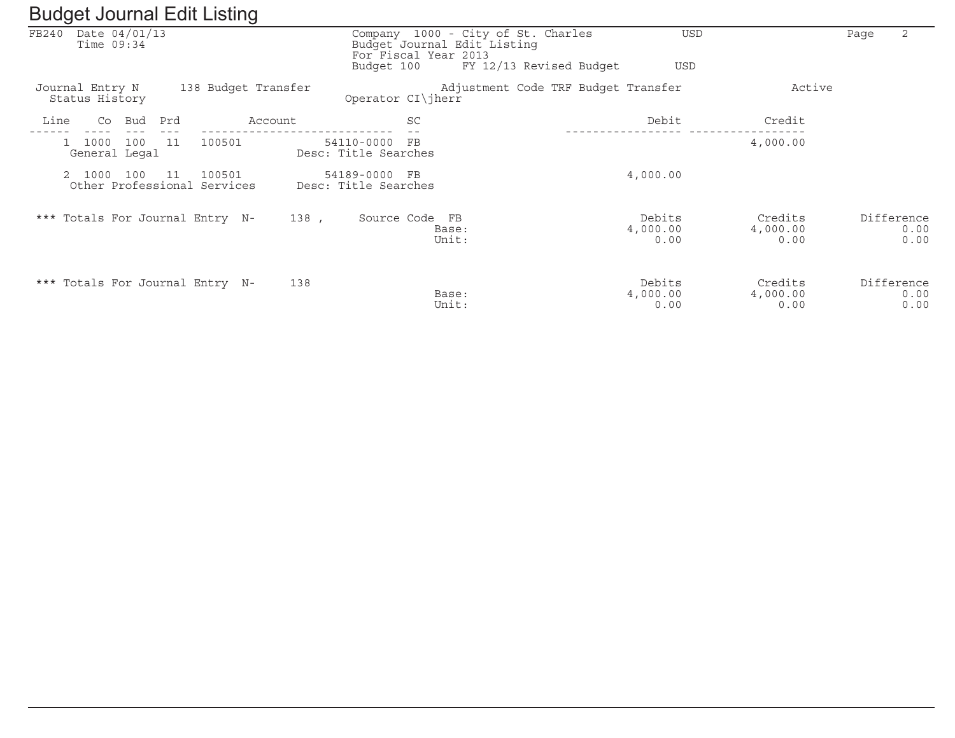|       | ັ                                     |     |      |                                       | ັ                   |                                       |                                  |                                                                   |                            |                             |      |                            |
|-------|---------------------------------------|-----|------|---------------------------------------|---------------------|---------------------------------------|----------------------------------|-------------------------------------------------------------------|----------------------------|-----------------------------|------|----------------------------|
| FB240 | Date 04/01/13<br>Time $09:34$         |     |      |                                       |                     |                                       | For Fiscal Year 2013             | Company 1000 - City of St. Charles<br>Budget Journal Edit Listing | USD                        |                             | Page | 2                          |
|       |                                       |     |      |                                       |                     | Budget 100                            |                                  | FY 12/13 Revised Budget                                           | USD                        |                             |      |                            |
|       | Journal Entry N<br>Status History     |     |      |                                       | 138 Budget Transfer | Operator CI\jherr                     |                                  | Adjustment Code TRF Budget Transfer                               |                            | Active                      |      |                            |
| Line  | Co                                    | Bud | Prd  |                                       | Account             |                                       | SC                               |                                                                   | Debit                      | Credit                      |      |                            |
|       | 1000<br>$\mathbf{1}$<br>General Legal | 100 | -11  | 100501                                |                     | 54110-0000 FB<br>Desc: Title Searches |                                  |                                                                   |                            | 4,000.00                    |      |                            |
|       | 1000                                  | 100 | - 11 | 100501<br>Other Professional Services |                     | 54189-0000 FB<br>Desc: Title Searches |                                  |                                                                   | 4,000.00                   |                             |      |                            |
|       |                                       |     |      | *** Totals For Journal Entry N-       | 138 ,               |                                       | Source Code FB<br>Base:<br>Unit: |                                                                   | Debits<br>4,000.00<br>0.00 | Credits<br>4,000.00<br>0.00 |      | Difference<br>0.00<br>0.00 |
|       |                                       |     |      | *** Totals For Journal Entry N-       | 138                 |                                       | Base:<br>Unit:                   |                                                                   | Debits<br>4,000.00<br>0.00 | Credits<br>4,000.00<br>0.00 |      | Difference<br>0.00<br>0.00 |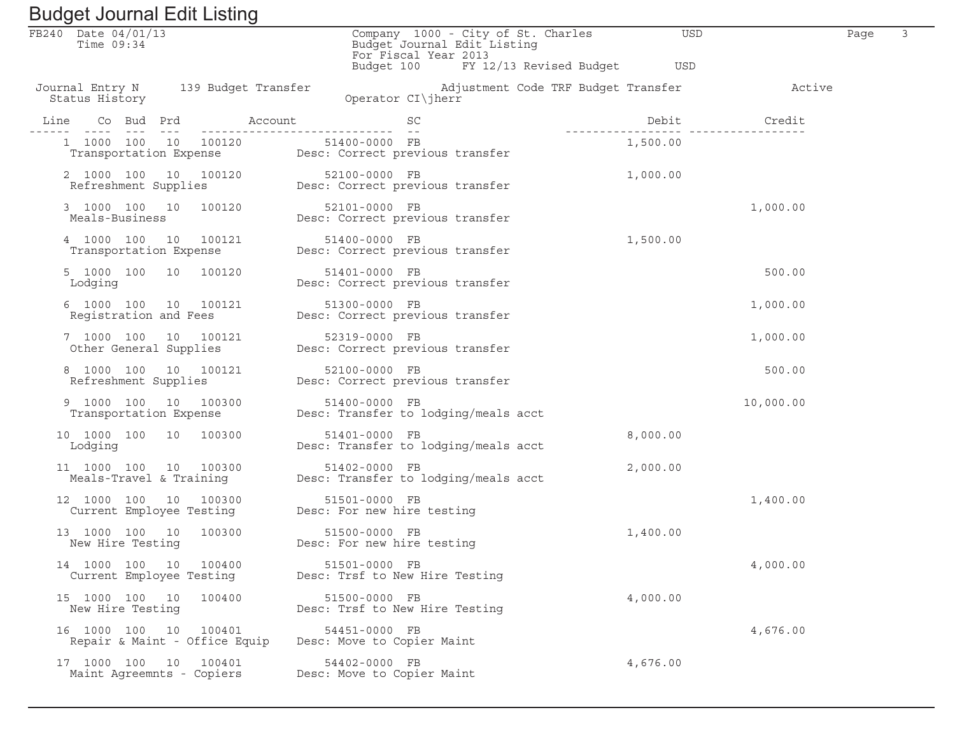| FB240 Date 04/01/13<br>Time $09:34$                    | Company 1000 - City of St. Charles<br>Budget Journal Edit Listing<br>For Fiscal Year 2013    | USD                                                       | Page |
|--------------------------------------------------------|----------------------------------------------------------------------------------------------|-----------------------------------------------------------|------|
|                                                        | Budget 100 FY 12/13 Revised Budget                                                           | USD                                                       |      |
| Journal Entry N 139 Budget Transfer<br>Status History  | Operator CI\jherr                                                                            | Adjustment Code TRF Budget Transfer The Management Active |      |
|                                                        |                                                                                              |                                                           |      |
|                                                        | 1 1000 100 10 100120 51400-0000 FB<br>Transportation Expense Desc: Correct previous transfer | 1,500.00                                                  |      |
|                                                        | 2 1000 100 10 100120 52100-0000 FB<br>Refreshment Supplies Desc: Correct previous transfer   | 1,000.00                                                  |      |
|                                                        | 3 1000 100 10 100120 52101-0000 FB<br>Meals-Business Desc: Correct previous transfer         | 1,000.00                                                  |      |
| 4 1000 100 10 100121<br>Transportation Expense         | 51400-0000 FB<br>Desc: Correct previous transfer                                             | 1,500.00                                                  |      |
| 5 1000 100 10 100120<br>Lodging                        | 51401-0000 FB<br>Desc: Correct previous transfer                                             | 500.00                                                    |      |
| 6 1000 100 10 100121                                   | 51300-0000 FB<br>Registration and Fees Desc: Correct previous transfer                       | 1,000.00                                                  |      |
|                                                        | 7 1000 100 10 100121 52319-0000 FB<br>Other General Supplies Desc: Correct previous transfer | 1,000.00                                                  |      |
| 8 1000 100 10 100121<br>Refreshment Supplies           | 52100-0000 FB<br>Desc: Correct previous transfer                                             | 500.00                                                    |      |
| 9 1000 100 10 100300                                   | 51400-0000 FB<br>Transportation Expense Manuscript Desc: Transfer to lodging/meals acct      | 10,000.00                                                 |      |
| 10 1000 100 10 100300<br>Lodging                       | 51401-0000 FB<br>Desc: Transfer to lodging/meals acct                                        | 8,000.00                                                  |      |
| 11 1000 100 10 100300                                  | 51402-0000 FB<br>Meals-Travel & Training Mesc: Transfer to lodging/meals acct                | 2,000.00                                                  |      |
| 12 1000 100 10 100300                                  | 51501-0000 FB<br>Current Employee Testing Desc: For new hire testing                         | 1,400.00                                                  |      |
| 13 1000 100 10 100300<br>New Hire Testing              | 51500-0000 FB<br>Desc: For new hire testing                                                  | 1,400.00                                                  |      |
| 14 1000 100 10 100400<br>Current Employee Testing      | 51501-0000 FB<br>Desc: Trsf to New Hire Testing                                              | 4,000.00                                                  |      |
| 15 1000 100 10<br>100400<br>New Hire Testing           | 51500-0000 FB<br>Desc: Trsf to New Hire Testing                                              | 4,000.00                                                  |      |
| 16 1000 100 10 100401<br>Repair & Maint - Office Equip | 54451-0000 FB<br>Desc: Move to Copier Maint                                                  | 4,676.00                                                  |      |
| 17 1000 100 10<br>100401<br>Maint Agreemnts - Copiers  | 54402-0000 FB<br>Desc: Move to Copier Maint                                                  | 4,676.00                                                  |      |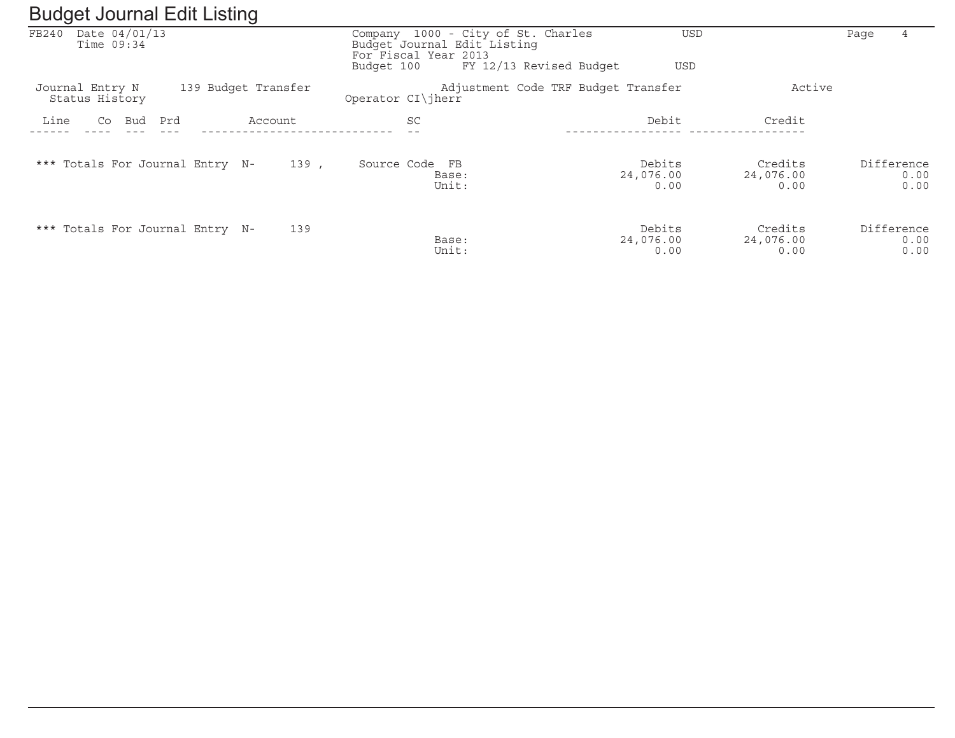| ັ<br>ັ                                                   |         |                                                                                                                                    |                                     |                              |            |              |
|----------------------------------------------------------|---------|------------------------------------------------------------------------------------------------------------------------------------|-------------------------------------|------------------------------|------------|--------------|
| Date 04/01/13<br>FB240<br>Time $09:34$                   |         | Company 1000 - City of St. Charles<br>Budget Journal Edit Listing<br>For Fiscal Year 2013<br>FY 12/13 Revised Budget<br>Budget 100 | <b>USD</b><br><b>USD</b>            |                              | Page       | 4            |
| 139 Budget Transfer<br>Journal Entry N<br>Status History |         | Operator CI\jherr                                                                                                                  | Adjustment Code TRF Budget Transfer | Active                       |            |              |
| Line<br>Co<br>Bud<br>Prd                                 | Account | <b>SC</b>                                                                                                                          | Debit                               | Credit                       |            |              |
| *** Totals For Journal Entry N-                          | 139,    | Source Code FB<br>Base:<br>Unit:                                                                                                   | Debits<br>24,076.00<br>0.00         | Credits<br>24,076.00<br>0.00 | Difference | 0.00<br>0.00 |
| *** Totals For Journal Entry N-                          | 139     | Base:<br>Unit:                                                                                                                     | Debits<br>24,076.00<br>0.00         | Credits<br>24,076.00<br>0.00 | Difference | 0.00<br>0.00 |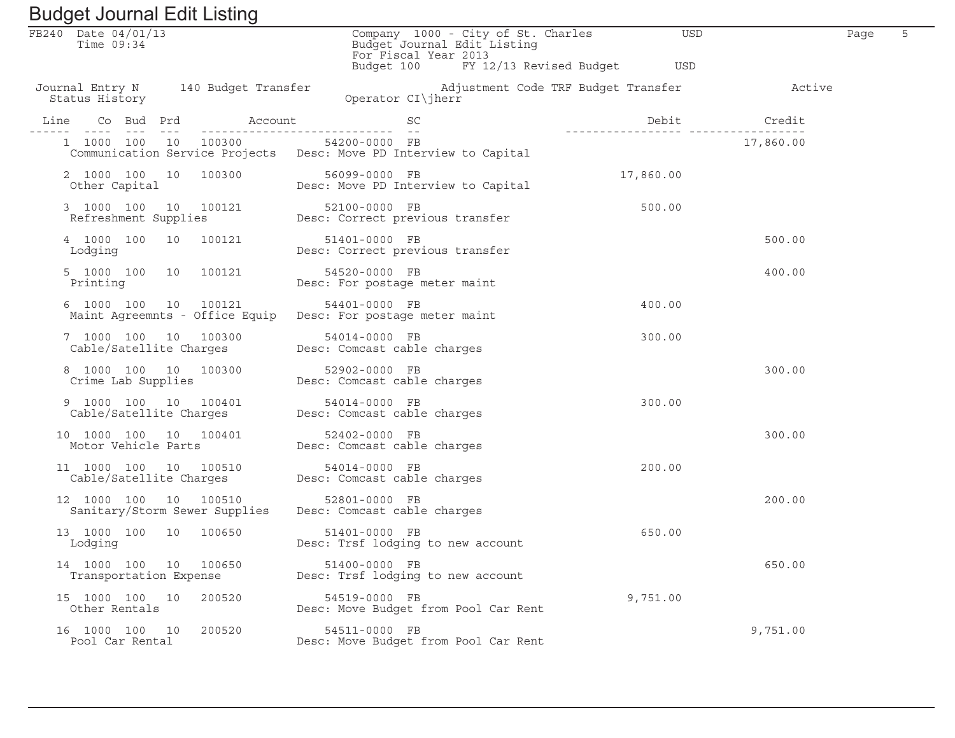| Baagot boarnar Ean Eibting                                                                                         |                                                                                           |                                                        |           |  |
|--------------------------------------------------------------------------------------------------------------------|-------------------------------------------------------------------------------------------|--------------------------------------------------------|-----------|--|
| FB240 Date 04/01/13<br>Time $09:34$                                                                                | Company 1000 - City of St. Charles<br>Budget Journal Edit Listing<br>For Fiscal Year 2013 | USD                                                    | Page      |  |
| Journal Entry N 140 Budget Transfer<br>Status History                                                              | Budget 100 FY 12/13 Revised Budget<br>Operator CI\jherr                                   | USD<br>Adjustment Code TRF Budget Transfer The Machive |           |  |
| Line                                                                                                               |                                                                                           | Debit Credit                                           |           |  |
| 1 1000 100 10 100300 54200-0000 FB                                                                                 | Communication Service Projects Desc: Move PD Interview to Capital                         |                                                        | 17,860.00 |  |
|                                                                                                                    | 2 1000 100 10 100300 56099-0000 FB<br>Other Capital Desc: Move PD Interview to Capital    | 17,860.00                                              |           |  |
| 3 1000 100 10 100121 52100-0000 FB<br>Refreshment Supplies Desc: Correct previous transfer                         |                                                                                           | 500.00                                                 |           |  |
| 4 1000 100 10 100121<br>Lodging                                                                                    | 51401-0000 FB<br>Desc: Correct previous transfer                                          |                                                        | 500.00    |  |
| 5 1000 100 10 100121<br>Printing                                                                                   | 54520-0000 FB<br>Desc: For postage meter maint                                            |                                                        | 400.00    |  |
| 6 1000 100 10 100121<br>Maint Agreemnts - Office Equip Desc: For postage meter maint                               | 54401-0000 FB                                                                             | 400.00                                                 |           |  |
| 7 1000 100 10 100300 54014-0000 FB<br>Cable/Satellite Charges Desc: Comcast cable charges                          |                                                                                           | 300.00                                                 |           |  |
| 3 1000 100 10 100300 52902-0000 FB<br>Crime Lab Supplies Desc: Comcast cable charges<br>8 1000 100 10 100300       |                                                                                           |                                                        | 300.00    |  |
| 9 1000 100 10 100401                                                                                               | 54014-0000 FB                                                                             | 300.00                                                 |           |  |
| 10 1000 100 10 100401<br>Motor Vehicle Parts                                                                       | 52402-0000 FB<br>Desc: Comcast cable charges                                              |                                                        | 300.00    |  |
| L 1000 100 10 100510 54014-0000 FB<br>Cable/Satellite Charges Desc: Comcast cable charges<br>11 1000 100 10 100510 |                                                                                           | 200.00                                                 |           |  |
| 12 1000 100 10 100510<br>Sanitary/Storm Sewer Supplies Desc: Comcast cable charges                                 | 52801-0000 FB                                                                             |                                                        | 200.00    |  |
| 13 1000 100 10 100650<br>Lodging                                                                                   | 51401-0000 FB<br>Desc: Trsf lodging to new account                                        | 650.00                                                 |           |  |
| 14 1000 100 10 100650<br>Transportation Expense                                                                    | 51400-0000 FB<br>Desc: Trsf lodging to new account                                        |                                                        | 650.00    |  |
| 15 1000 100 10<br>200520<br>Other Rentals                                                                          | 54519-0000 FB<br>Desc: Move Budget from Pool Car Rent                                     | 9,751.00                                               |           |  |
| 16 1000 100 10<br>200520<br>Pool Car Rental                                                                        | 54511-0000 FB<br>Desc: Move Budget from Pool Car Rent                                     |                                                        | 9,751.00  |  |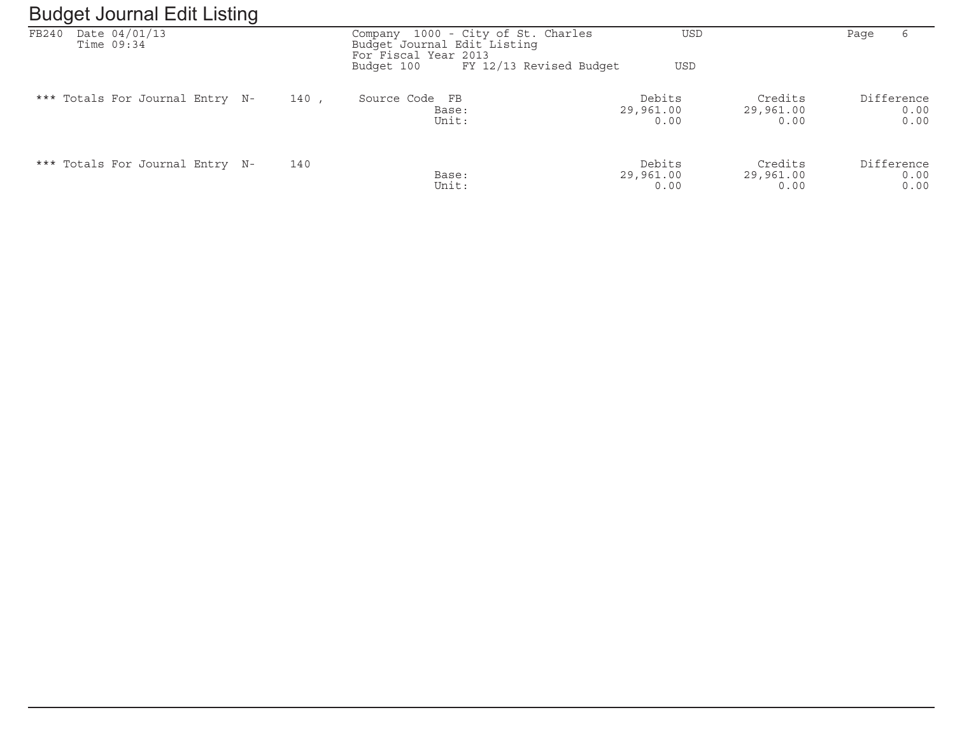#### Budget Journal Edit ListingFB240 Date 04/01/13 Company 1000 - City of St. Charles USD Page 6 Time 09:34 Budget Journal Edit Listing For Fiscal Year 2013 Budget 100 FY 12/13 Revised Budget USD \*\*\* Totals For Journal Entry N- 140 , Source Code FB Debits Credits Difference $0.00$  Base: 29,961.00 29,961.00 0.00 $0.00$  Unit: 0.00 0.00 0.00\*\*\* Totals For Journal Entry N- 140<br>0.00 0.00 Debits Credits Difference 29,961.00 29,961.00 Debits Difference  $0.00$  Base: 29,961.00 29,961.00 0.00 $0.00$ Unit: 0.00 0.00 0.00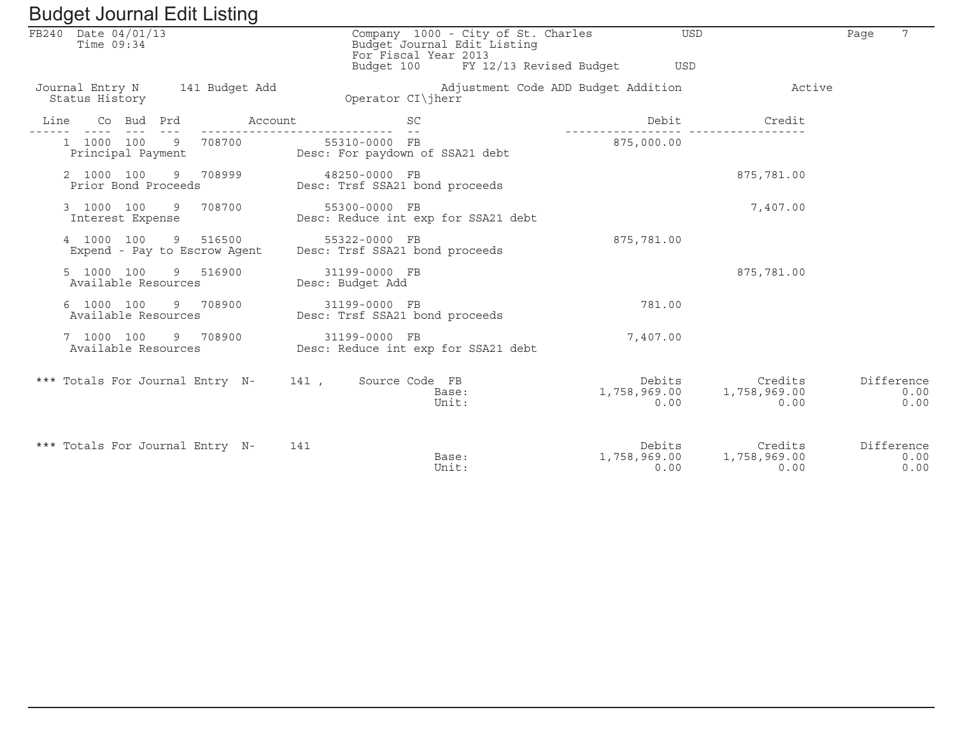|                                   |  | Baagot boarnar Ean Eibarig               |                                                                      |                      |                             |                                                                          |                                |                                                     |      |                            |
|-----------------------------------|--|------------------------------------------|----------------------------------------------------------------------|----------------------|-----------------------------|--------------------------------------------------------------------------|--------------------------------|-----------------------------------------------------|------|----------------------------|
| FB240 Date 04/01/13<br>Time 09:34 |  |                                          |                                                                      | For Fiscal Year 2013 | Budget Journal Edit Listing | Company 1000 - City of St. Charles<br>Budget 100 FY 12/13 Revised Budget | <b>USD</b><br>USD              |                                                     | Page | 7                          |
| Status History                    |  | Journal Entry N 141 Budget Add           | Operator CI\iherr                                                    |                      |                             | Adjustment Code ADD Budget Addition                                      |                                | Active                                              |      |                            |
|                                   |  |                                          | Line Co Bud Prd Account                                              | SC                   |                             |                                                                          |                                | Debit Credit                                        |      |                            |
|                                   |  | Principal Payment                        | 1 1000 100 9 708700 55310-0000 FB<br>Desc: For paydown of SSA21 debt |                      |                             |                                                                          | 875,000.00                     |                                                     |      |                            |
| 2 1000 100                        |  | 9 708999<br>Prior Bond Proceeds          | 48250-0000 FB<br>Desc: Trsf SSA21 bond proceeds                      |                      |                             |                                                                          |                                | 875,781.00                                          |      |                            |
| Interest Expense                  |  | 3 1000 100 9 708700                      | 55300-0000 FB<br>Desc: Reduce int exp for SSA21 debt                 |                      |                             |                                                                          |                                | 7,407.00                                            |      |                            |
| 4 1000 100                        |  | 9 516500<br>Expend - Pay to Escrow Agent | 55322-0000 FB<br>Desc: Trsf SSA21 bond proceeds                      |                      |                             |                                                                          | 875,781.00                     |                                                     |      |                            |
| 5 1000 100<br>Available Resources |  | 9 516900                                 | 31199-0000 FB<br>Desc: Budget Add                                    |                      |                             |                                                                          |                                | 875,781.00                                          |      |                            |
| Available Resources               |  | 6 1000 100 9 708900                      | 31199-0000 FB<br>Desc: Trsf SSA21 bond proceeds                      |                      |                             |                                                                          | 781.00                         |                                                     |      |                            |
| 7 1000 100                        |  | 9 708900<br>Available Resources          | 31199-0000 FB<br>Desc: Reduce int exp for SSA21 debt                 |                      |                             |                                                                          | 7,407.00                       |                                                     |      |                            |
|                                   |  |                                          | *** Totals For Journal Entry N- 141, Source Code FB                  |                      | Base:<br>Unit:              |                                                                          | Debits<br>1,758,969.00<br>0.00 | Credits<br>1,758,969.00<br>0.00                     |      | Difference<br>0.00<br>0.00 |
|                                   |  | *** Totals For Journal Entry N-          | 141                                                                  |                      | Base:<br>Unit:              |                                                                          | 0.00                           | Debits Credits<br>1,758,969.00 1,758,969.00<br>0.00 |      | Difference<br>0.00<br>0.00 |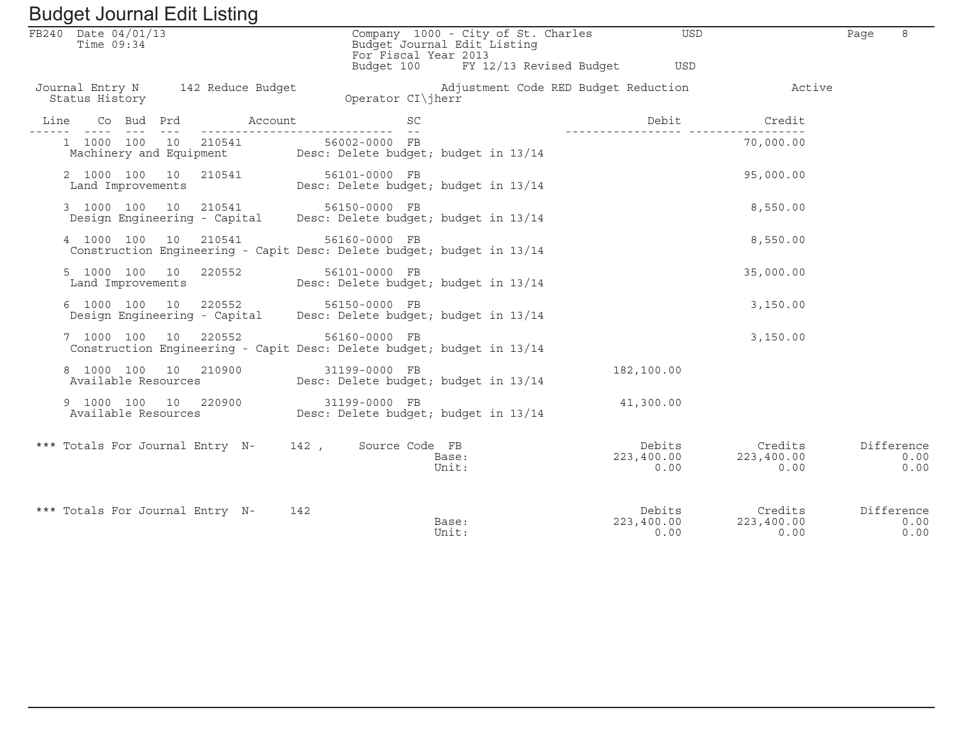|                     |                |  | Duuyut Journal Luit Listing                 |     |                                                                                                         |    |                |                             |                                    |                              |                                                 |      |                            |
|---------------------|----------------|--|---------------------------------------------|-----|---------------------------------------------------------------------------------------------------------|----|----------------|-----------------------------|------------------------------------|------------------------------|-------------------------------------------------|------|----------------------------|
| FB240 Date 04/01/13 | Time 09:34     |  |                                             |     | For Fiscal Year 2013                                                                                    |    |                | Budget Journal Edit Listing | Company 1000 - City of St. Charles | <b>USD</b>                   |                                                 | Page | 8                          |
|                     |                |  |                                             |     | Budget 100                                                                                              |    |                |                             |                                    | FY 12/13 Revised Budget USD  |                                                 |      |                            |
|                     | Status History |  | Journal Entry N 142 Reduce Budget           |     | Operator CI\jherr                                                                                       |    |                |                             |                                    |                              | Adjustment Code RED Budget Reduction The Metive |      |                            |
| Line                |                |  |                                             |     |                                                                                                         | SC |                |                             | _________________                  | Debit                        | Credit                                          |      |                            |
|                     |                |  |                                             |     | 1 1000 100 10 210541 56002-0000 FB<br>Machinery and Equipment Desc: Delete budget; budget in 13/14      |    |                |                             |                                    |                              | 70,000.00                                       |      |                            |
|                     |                |  |                                             |     | 2 1000 100 10 210541 56101-0000 FB<br>Land Improvements Desc: Delete budget; budget in 13/14            |    |                |                             |                                    |                              | 95,000.00                                       |      |                            |
|                     |                |  |                                             |     | 3 1000 100 10 210541 56150-0000 FB<br>Design Engineering - Capital Desc: Delete budget; budget in 13/14 |    |                |                             |                                    |                              | 8,550.00                                        |      |                            |
|                     | 4 1000 100 10  |  | 210541                                      |     | 56160-0000 FB<br>Construction Engineering - Capit Desc: Delete budget; budget in 13/14                  |    |                |                             |                                    |                              | 8,550.00                                        |      |                            |
|                     |                |  | 5 1000 100 10 220552                        |     | 56101-0000 FB<br>Land Improvements Desc: Delete budget; budget in 13/14                                 |    |                |                             |                                    |                              | 35,000.00                                       |      |                            |
|                     |                |  |                                             |     | 6 1000 100 10 220552 56150-0000 FB<br>Design Engineering - Capital Desc: Delete budget; budget in 13/14 |    |                |                             |                                    |                              | 3,150.00                                        |      |                            |
|                     | 7 1000 100 10  |  | 220552                                      |     | 56160-0000 FB<br>Construction Engineering - Capit Desc: Delete budget; budget in 13/14                  |    |                |                             |                                    |                              | 3,150.00                                        |      |                            |
|                     |                |  | 8 1000 100 10 210900<br>Available Resources |     | 31199-0000 FB<br>Desc: Delete budget; budget in 13/14                                                   |    |                |                             |                                    | 182,100.00                   |                                                 |      |                            |
|                     |                |  | 9 1000 100 10 220900                        |     |                                                                                                         |    |                |                             |                                    | 41,300.00                    |                                                 |      |                            |
|                     |                |  |                                             |     | *** Totals For Journal Entry N- 142, Source Code FB                                                     |    | Base:<br>Unit: |                             |                                    | Debits<br>223,400.00<br>0.00 | Credits<br>223,400.00<br>0.00                   |      | Difference<br>0.00<br>0.00 |
|                     |                |  | *** Totals For Journal Entry N-             | 142 |                                                                                                         |    | Base:<br>Unit: |                             |                                    | Debits<br>223,400.00<br>0.00 | Credits<br>223,400.00<br>0.00                   |      | Difference<br>0.00<br>0.00 |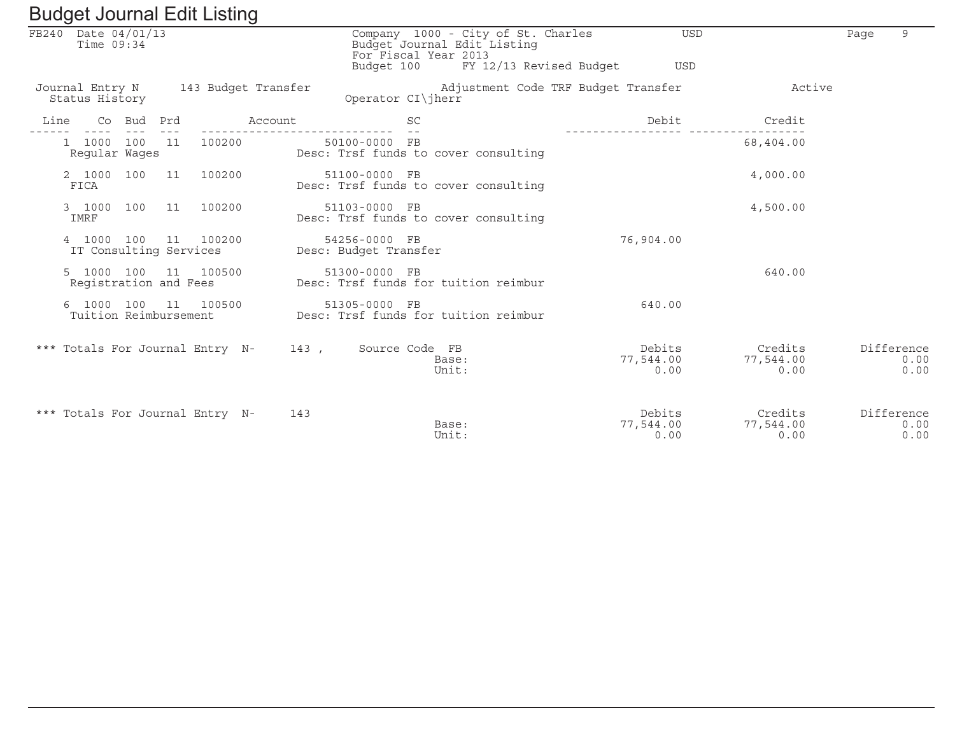|      |                                   |            |    | Duugut oodinidi Eult Eisting    |                                      |                                        |                |                                                                                              |                             |                              |      |                            |
|------|-----------------------------------|------------|----|---------------------------------|--------------------------------------|----------------------------------------|----------------|----------------------------------------------------------------------------------------------|-----------------------------|------------------------------|------|----------------------------|
|      | FB240 Date 04/01/13<br>Time 09:34 |            |    |                                 |                                      | For Fiscal Year 2013<br>Budget 100     |                | Company 1000 - City of St. Charles<br>Budget Journal Edit Listing<br>FY 12/13 Revised Budget | <b>TISD</b><br><b>USD</b>   |                              | Page | 9                          |
|      | Status History                    |            |    |                                 | Journal Entry N 143 Budget Transfer  | Operator CI\jherr                      |                | Adjustment Code TRF Budget Transfer                                                          |                             | Active                       |      |                            |
| Line |                                   | Co Bud Prd |    |                                 | Account                              |                                        | <b>SC</b>      |                                                                                              | Debit                       | Credit                       |      |                            |
|      | 1 1000 100<br>Reqular Waqes       |            | 11 | 100200                          |                                      | 50100-0000 FB                          |                | Desc: Trsf funds to cover consulting                                                         |                             | 68,404.00                    |      |                            |
|      | 2 1000 100 11<br>FICA             |            |    | 100200                          |                                      | 51100-0000 FB                          |                | Desc: Trsf funds to cover consulting                                                         |                             | 4,000.00                     |      |                            |
|      | IMRF                              |            |    | 3 1000 100 11 100200            |                                      | 51103-0000 FB                          |                | Desc: Trsf funds to cover consulting                                                         |                             | 4,500.00                     |      |                            |
|      | IT Consulting Services            |            |    | 4 1000 100 11 100200            |                                      | 54256-0000 FB<br>Desc: Budget Transfer |                |                                                                                              | 76,904.00                   |                              |      |                            |
|      | Reqistration and Fees             |            |    | 5 1000 100 11 100500            |                                      | 51300-0000 FB                          |                | Desc: Trsf funds for tuition reimbur                                                         |                             | 640.00                       |      |                            |
|      | Tuition Reimbursement             |            |    | 6 1000 100 11 100500            |                                      | 51305-0000 FB                          |                | Desc: Trsf funds for tuition reimbur                                                         | 640.00                      |                              |      |                            |
|      |                                   |            |    |                                 | *** Totals For Journal Entry N- 143, |                                        | Source Code FB | Base:<br>Unit:                                                                               | Debits<br>77,544.00<br>0.00 | Credits<br>77,544.00<br>0.00 |      | Difference<br>0.00<br>0.00 |
|      |                                   |            |    | *** Totals For Journal Entry N- | 143                                  |                                        |                | Base:<br>Unit:                                                                               | Debits<br>77,544.00<br>0.00 | Credits<br>77,544.00<br>0.00 |      | Difference<br>0.00<br>0.00 |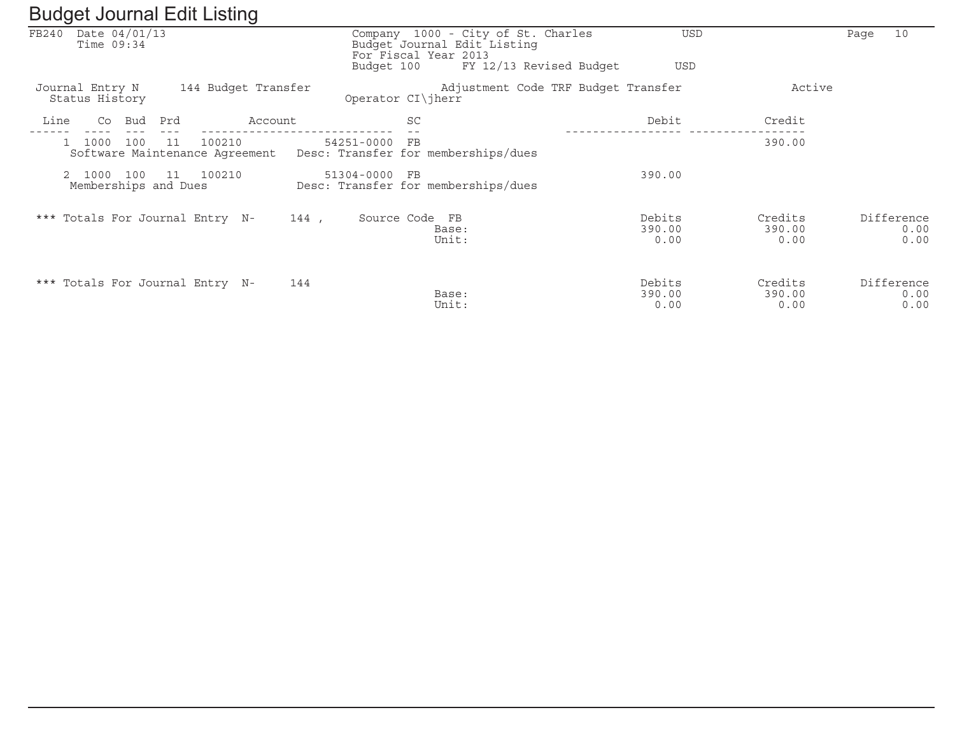| ັ                                      | ັ                                              |            |                                                                                           |                          |                           |                            |
|----------------------------------------|------------------------------------------------|------------|-------------------------------------------------------------------------------------------|--------------------------|---------------------------|----------------------------|
| Date 04/01/13<br>FB240<br>Time $09:34$ |                                                |            | Company 1000 - City of St. Charles<br>Budget Journal Edit Listing<br>For Fiscal Year 2013 | USD                      |                           | 10<br>Page                 |
|                                        |                                                | Budget 100 | FY 12/13 Revised Budget                                                                   | <b>USD</b>               |                           |                            |
| Journal Entry N<br>Status History      | 144 Budget Transfer                            |            | Adjustment Code TRF Budget Transfer<br>Operator CI\jherr                                  |                          | Active                    |                            |
| Bud<br>Line<br>Co                      | Prd<br>Account                                 |            | SC                                                                                        | Debit                    | Credit                    |                            |
| 1000<br>100                            | 100210<br>11<br>Software Maintenance Agreement | 54251-0000 | FB<br>Desc: Transfer for memberships/dues                                                 |                          | 390.00                    |                            |
| 2 1000<br>100<br>Memberships and Dues  | 100210<br>11                                   | 51304-0000 | F <sub>B</sub><br>Desc: Transfer for memberships/dues                                     | 390.00                   |                           |                            |
| *** Totals For Journal Entry N-        |                                                | 144,       | Source Code FB<br>Base:<br>Unit:                                                          | Debits<br>390.00<br>0.00 | Credits<br>390.00<br>0.00 | Difference<br>0.00<br>0.00 |
| *** Totals For Journal Entry N-        |                                                | 144        | Base:<br>Unit:                                                                            | Debits<br>390.00<br>0.00 | Credits<br>390.00<br>0.00 | Difference<br>0.00<br>0.00 |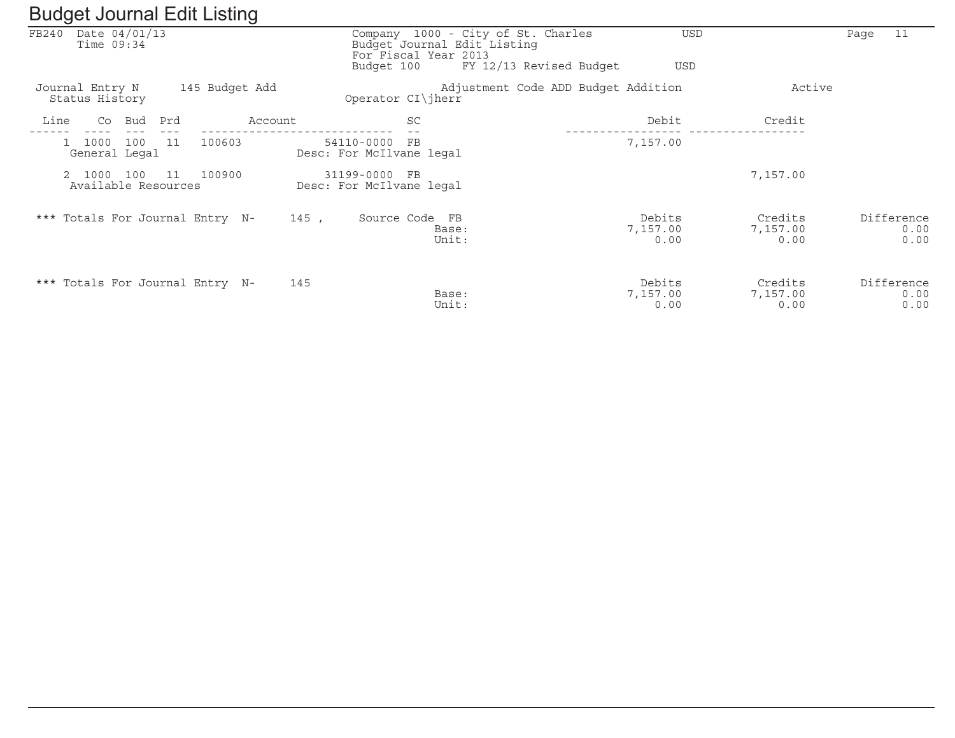|       | ັ                                            |      |                | ັ       |                                           |                |                                                                                           |                            |                             |      |                            |
|-------|----------------------------------------------|------|----------------|---------|-------------------------------------------|----------------|-------------------------------------------------------------------------------------------|----------------------------|-----------------------------|------|----------------------------|
| FB240 | Date 04/01/13<br>Time $09:34$                |      |                |         |                                           |                | Company 1000 - City of St. Charles<br>Budget Journal Edit Listing<br>For Fiscal Year 2013 | <b>USD</b>                 |                             | Page | 11                         |
|       |                                              |      |                |         |                                           | Budget 100     | FY 12/13 Revised Budget                                                                   | USD                        |                             |      |                            |
|       | Journal Entry N<br>Status History            |      | 145 Budget Add |         | Operator CI\jherr                         |                | Adjustment Code ADD Budget Addition                                                       |                            | Active                      |      |                            |
| Line  | Bud<br>Co                                    | Prd  |                | Account |                                           | SC             |                                                                                           | Debit                      | Credit                      |      |                            |
|       | 100<br>1000<br>$\mathbf{1}$<br>General Legal | - 11 | 100603         |         | 54110-0000<br>Desc: For McIlvane legal    | FB             |                                                                                           | 7,157.00                   |                             |      |                            |
|       | 2 1000<br>100<br>Available Resources         | 11   | 100900         |         | 31199-0000 FB<br>Desc: For McIlvane legal |                |                                                                                           |                            | 7,157.00                    |      |                            |
|       | *** Totals For Journal Entry N-              |      |                |         | 145,                                      | Source Code FB | Base:<br>Unit:                                                                            | Debits<br>7,157.00<br>0.00 | Credits<br>7,157.00<br>0.00 |      | Difference<br>0.00<br>0.00 |
|       | *** Totals For Journal Entry N-              |      |                | 145     |                                           |                | Base:<br>Unit:                                                                            | Debits<br>7,157.00<br>0.00 | Credits<br>7,157.00<br>0.00 |      | Difference<br>0.00<br>0.00 |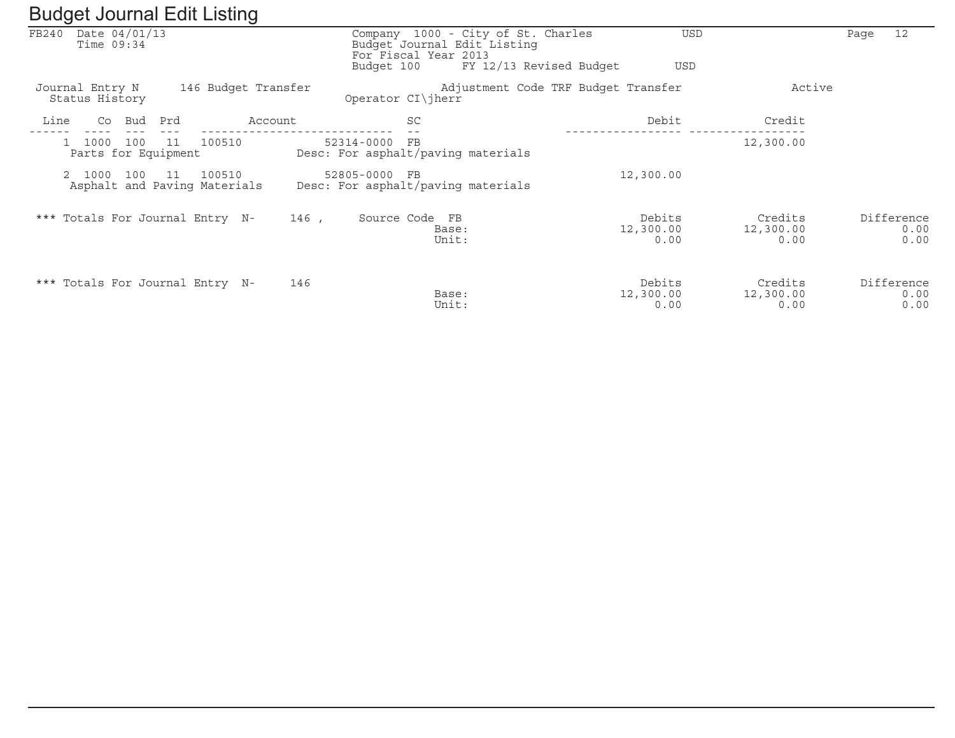|       |                                    | ັ                                              |       |                                                                                           |                                       |                              |                            |
|-------|------------------------------------|------------------------------------------------|-------|-------------------------------------------------------------------------------------------|---------------------------------------|------------------------------|----------------------------|
| FB240 | Date 04/01/13<br>Time $09:34$      |                                                |       | Company 1000 - City of St. Charles<br>Budget Journal Edit Listing<br>For Fiscal Year 2013 |                                       | <b>USD</b>                   | 12<br>Page                 |
|       |                                    |                                                |       | Budget 100                                                                                | FY 12/13 Revised Budget<br><b>USD</b> |                              |                            |
|       | Journal Entry N<br>Status History  | 146 Budget Transfer                            |       | Operator CI\jherr                                                                         | Adjustment Code TRF Budget Transfer   | Active                       |                            |
| Line  | Bud<br>Co                          | Prd<br>Account                                 |       | <b>SC</b>                                                                                 | Debit                                 | Credit                       |                            |
|       | 1000<br>100<br>Parts for Equipment | 100510<br>11                                   |       | 52314-0000 FB<br>Desc: For asphalt/paving materials                                       |                                       | 12,300.00                    |                            |
|       | 2 1000<br>100                      | 100510<br>- 11<br>Asphalt and Paving Materials |       | 52805-0000 FB<br>Desc: For asphalt/paving materials                                       | 12,300.00                             |                              |                            |
|       |                                    | *** Totals For Journal Entry N-                | 146 , | Source Code FB<br>Base:<br>Unit:                                                          | Debits<br>12,300.00<br>0.00           | Credits<br>12,300.00<br>0.00 | Difference<br>0.00<br>0.00 |
|       |                                    | *** Totals For Journal Entry N-                | 146   | Base:<br>Unit:                                                                            | Debits<br>12,300.00<br>0.00           | Credits<br>12,300.00<br>0.00 | Difference<br>0.00<br>0.00 |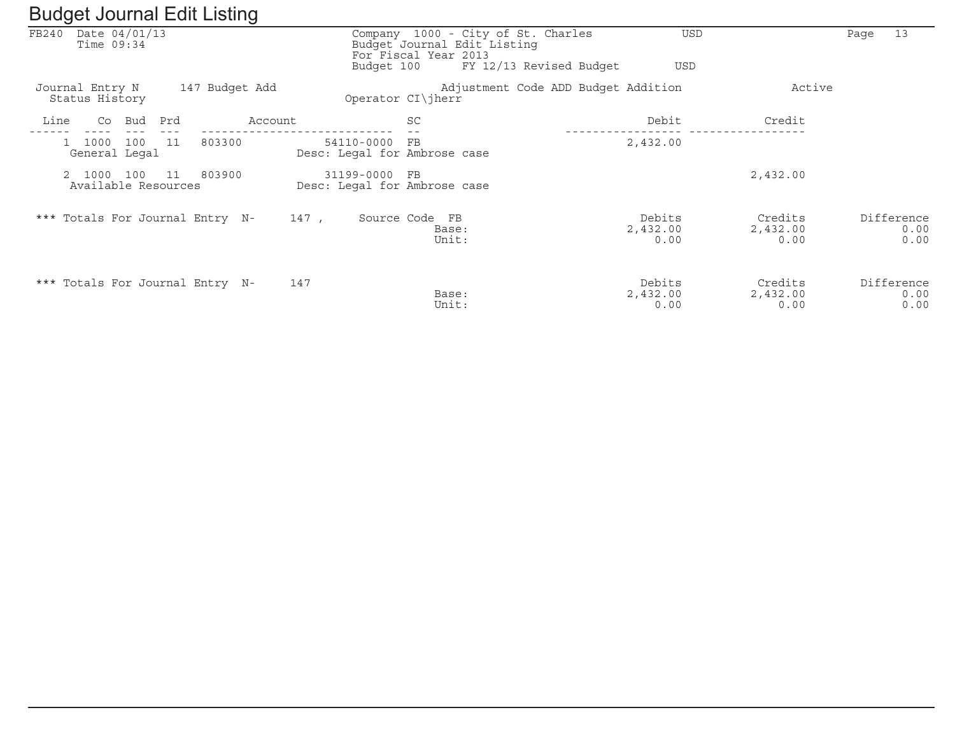|                                              | ັ              |                                               |                                                                                                                                    |                                     |                             |                            |
|----------------------------------------------|----------------|-----------------------------------------------|------------------------------------------------------------------------------------------------------------------------------------|-------------------------------------|-----------------------------|----------------------------|
| FB240 Date 04/01/13<br>Time $09:34$          |                |                                               | Company 1000 - City of St. Charles<br>Budget Journal Edit Listing<br>For Fiscal Year 2013<br>FY 12/13 Revised Budget<br>Budget 100 | <b>USD</b><br><b>USD</b>            |                             | 13<br>Page                 |
| Journal Entry N<br>Status History            | 147 Budget Add |                                               | Operator $CI\ $ herr                                                                                                               | Adjustment Code ADD Budget Addition | Active                      |                            |
| Line<br>Co<br>Bud                            | Prd<br>Account |                                               | SC                                                                                                                                 | Debit                               | Credit                      |                            |
| 1000<br>100<br>$\mathbf{1}$<br>General Legal | 803300<br>11   | 54110-0000<br>Desc: Legal for Ambrose case    | $_{\rm FB}$                                                                                                                        | 2,432.00                            |                             |                            |
| 2 1000<br>100<br>Available Resources         | 803900<br>11   | 31199-0000 FB<br>Desc: Legal for Ambrose case |                                                                                                                                    |                                     | 2,432.00                    |                            |
| *** Totals For Journal Entry N-              |                | 147,                                          | Source Code FB<br>Base:<br>Unit:                                                                                                   | Debits<br>2,432.00<br>0.00          | Credits<br>2,432.00<br>0.00 | Difference<br>0.00<br>0.00 |
| *** Totals For Journal Entry N-              |                | 147                                           | Base:<br>Unit:                                                                                                                     | Debits<br>2,432.00<br>0.00          | Credits<br>2,432.00<br>0.00 | Difference<br>0.00<br>0.00 |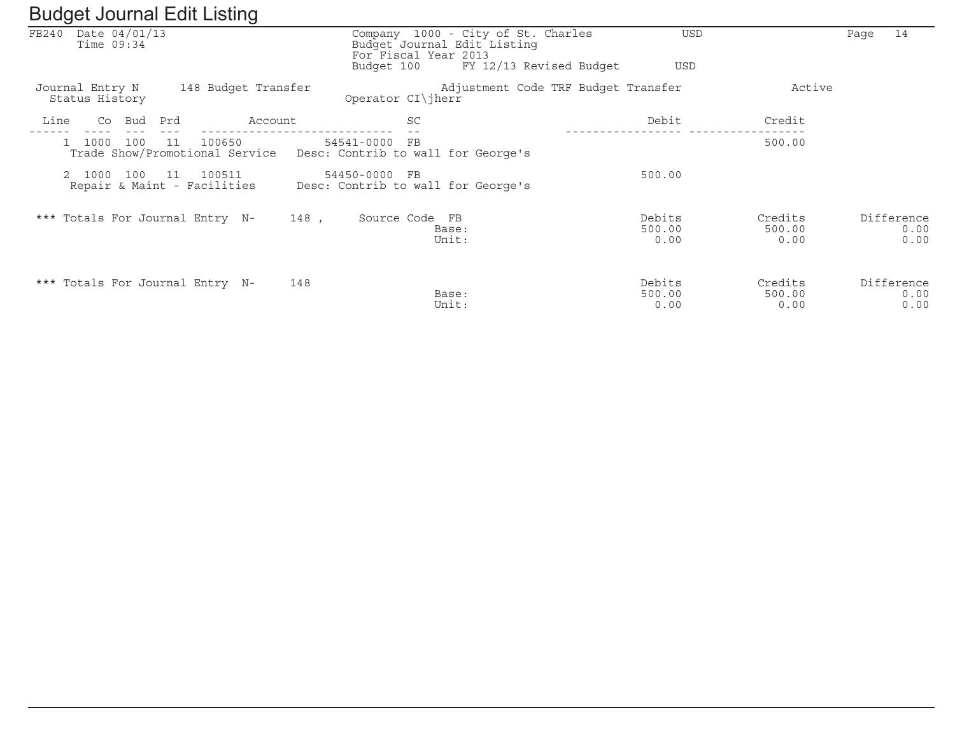| ັ                                      | ັ                                              |                                                                    |                                                               |                          |                           |                            |
|----------------------------------------|------------------------------------------------|--------------------------------------------------------------------|---------------------------------------------------------------|--------------------------|---------------------------|----------------------------|
| Date 04/01/13<br>FB240<br>Time $09:34$ |                                                | Budget Journal Edit Listing<br>For Fiscal Year 2013<br>Budget 100  | Company 1000 - City of St. Charles<br>FY 12/13 Revised Budget | <b>USD</b><br>USD        |                           | 14<br>Page                 |
|                                        |                                                |                                                                    |                                                               |                          |                           |                            |
| Journal Entry N<br>Status History      | 148 Budget Transfer                            | Operator CI\jherr                                                  | Adjustment Code TRF Budget Transfer                           |                          | Active                    |                            |
| Bud<br>Line<br>Co                      | Prd<br>Account                                 | <b>SC</b>                                                          |                                                               | Debit                    | Credit                    |                            |
| 1000<br>100                            | 11<br>100650<br>Trade Show/Promotional Service | 54541-0000<br>FB<br>Desc: Contrib to wall for George's             |                                                               |                          | 500.00                    |                            |
| 2 1000<br>100                          | 11<br>100511<br>Repair & Maint - Facilities    | 54450-0000<br>F <sub>B</sub><br>Desc: Contrib to wall for George's |                                                               | 500.00                   |                           |                            |
| *** Totals For Journal Entry N-        |                                                | 148,<br>Source Code FB                                             | Base:<br>Unit:                                                | Debits<br>500.00<br>0.00 | Credits<br>500.00<br>0.00 | Difference<br>0.00<br>0.00 |
| *** Totals For Journal Entry N-        |                                                | 148                                                                | Base:<br>Unit:                                                | Debits<br>500.00<br>0.00 | Credits<br>500.00<br>0.00 | Difference<br>0.00<br>0.00 |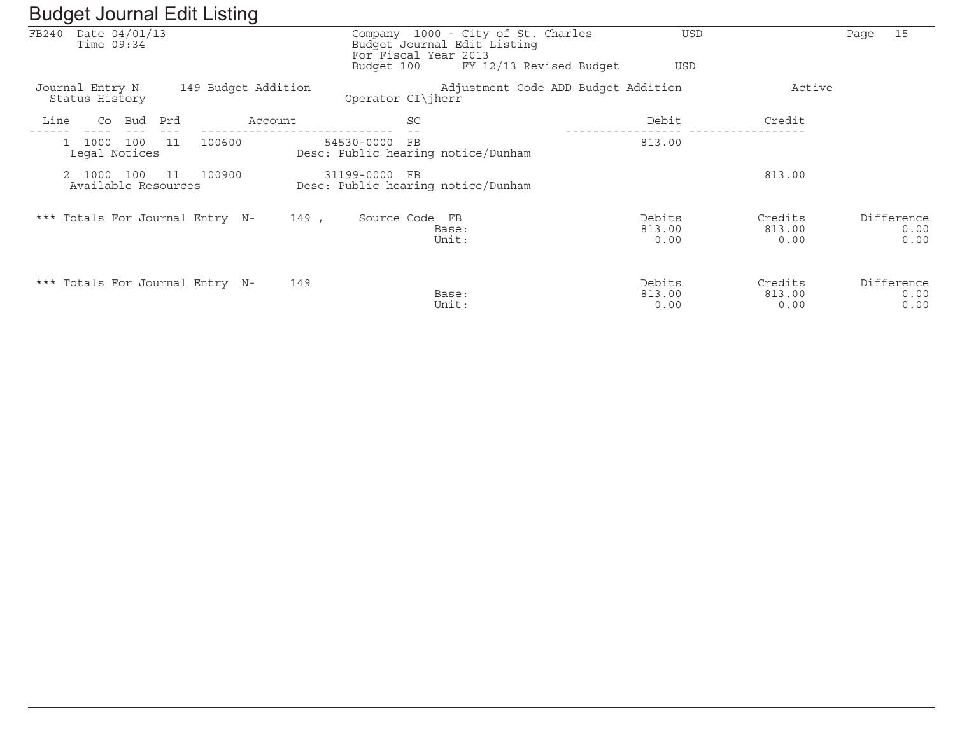| ັ                                      | ັ                   |                                                                 |                                                                                           |                          |                           |                            |
|----------------------------------------|---------------------|-----------------------------------------------------------------|-------------------------------------------------------------------------------------------|--------------------------|---------------------------|----------------------------|
| Date 04/01/13<br>FB240<br>Time $09:34$ |                     |                                                                 | Company 1000 - City of St. Charles<br>Budget Journal Edit Listing<br>For Fiscal Year 2013 | USD                      |                           | 15<br>Paqe                 |
|                                        |                     | Budget 100                                                      | FY 12/13 Revised Budget                                                                   | <b>USD</b>               |                           |                            |
| Journal Entry N<br>Status History      | 149 Budget Addition | Operator CI\jherr                                               | Adjustment Code ADD Budget Addition                                                       |                          | Active                    |                            |
| Bud<br>Line<br>Co                      | Prd<br>Account      | SC                                                              |                                                                                           | Debit                    | Credit                    |                            |
| 100<br>1000<br>Legal Notices           | 100600<br>11        | 54530-0000<br>$_{\rm FB}$<br>Desc: Public hearing notice/Dunham |                                                                                           | 813.00                   |                           |                            |
| 2 1000<br>100<br>Available Resources   | 100900<br>11        | 31199-0000<br>FB<br>Desc: Public hearing notice/Dunham          |                                                                                           |                          | 813.00                    |                            |
| *** Totals For Journal Entry N-        |                     | 149,<br>Source Code FB                                          | Base:<br>Unit:                                                                            | Debits<br>813.00<br>0.00 | Credits<br>813.00<br>0.00 | Difference<br>0.00<br>0.00 |
| *** Totals For Journal Entry N-        |                     | 149                                                             | Base:<br>Unit:                                                                            | Debits<br>813.00<br>0.00 | Credits<br>813.00<br>0.00 | Difference<br>0.00<br>0.00 |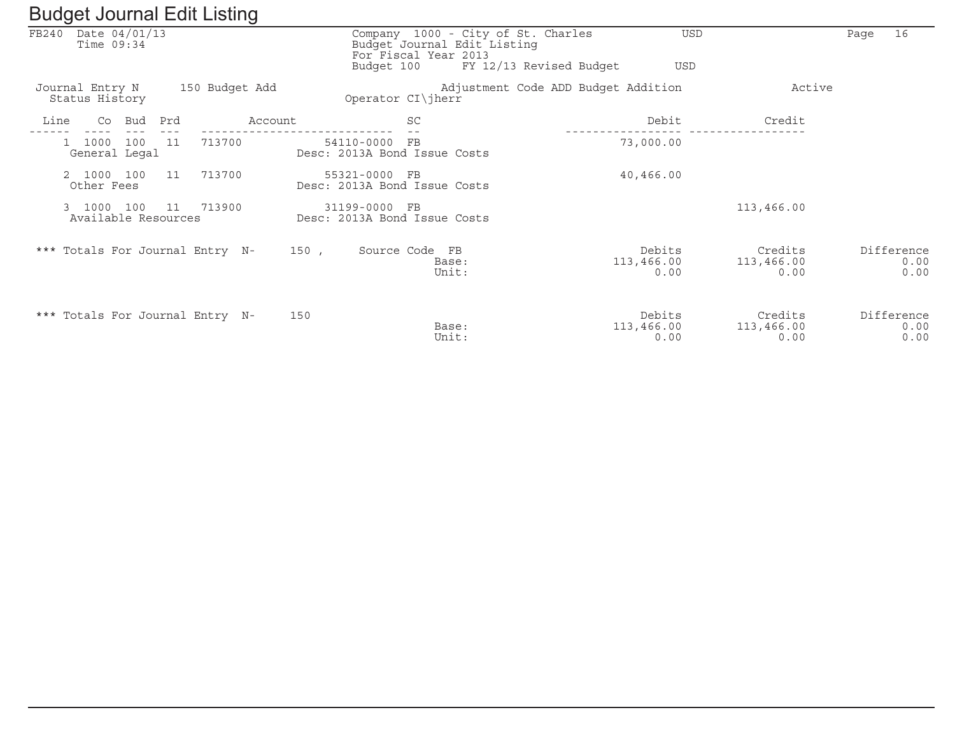| ັ                                      |     |                | ັ       |                                                                                                         |                |                                     |                              |                               |      |                            |
|----------------------------------------|-----|----------------|---------|---------------------------------------------------------------------------------------------------------|----------------|-------------------------------------|------------------------------|-------------------------------|------|----------------------------|
| FB240<br>Date 04/01/13<br>Time $09:34$ |     |                |         | Company 1000 - City of St. Charles<br>Budget Journal Edit Listing<br>For Fiscal Year 2013<br>Budget 100 |                | FY 12/13 Revised Budget             | <b>USD</b><br>USD            |                               | Page | 16                         |
| Journal Entry N<br>Status History      |     | 150 Budget Add |         | Operator CI\jherr                                                                                       |                | Adjustment Code ADD Budget Addition |                              | Active                        |      |                            |
| Line<br>Co<br>Bud                      | Prd |                | Account | <b>SC</b>                                                                                               |                |                                     | Debit                        | Credit                        |      |                            |
| 100<br>1000<br>General Legal           | 11  | 713700         |         | 54110-0000<br>$_{\rm FB}$<br>Desc: 2013A Bond Issue Costs                                               |                |                                     | 73,000.00                    |                               |      |                            |
| 2 1000 100<br>Other Fees               | 11  | 713700         |         | 55321-0000 FB<br>Desc: 2013A Bond Issue Costs                                                           |                |                                     | 40,466.00                    |                               |      |                            |
| 100<br>3 1000<br>Available Resources   | 11  | 713900         |         | 31199-0000 FB<br>Desc: 2013A Bond Issue Costs                                                           |                |                                     |                              | 113,466.00                    |      |                            |
| *** Totals For Journal Entry N-        |     |                | 150,    | Source Code FB                                                                                          | Base:<br>Unit: |                                     | Debits<br>113,466.00<br>0.00 | Credits<br>113,466.00<br>0.00 |      | Difference<br>0.00<br>0.00 |
| *** Totals For Journal Entry N-        |     |                | 150     |                                                                                                         | Base:<br>Unit: |                                     | Debits<br>113,466.00<br>0.00 | Credits<br>113,466.00<br>0.00 |      | Difference<br>0.00<br>0.00 |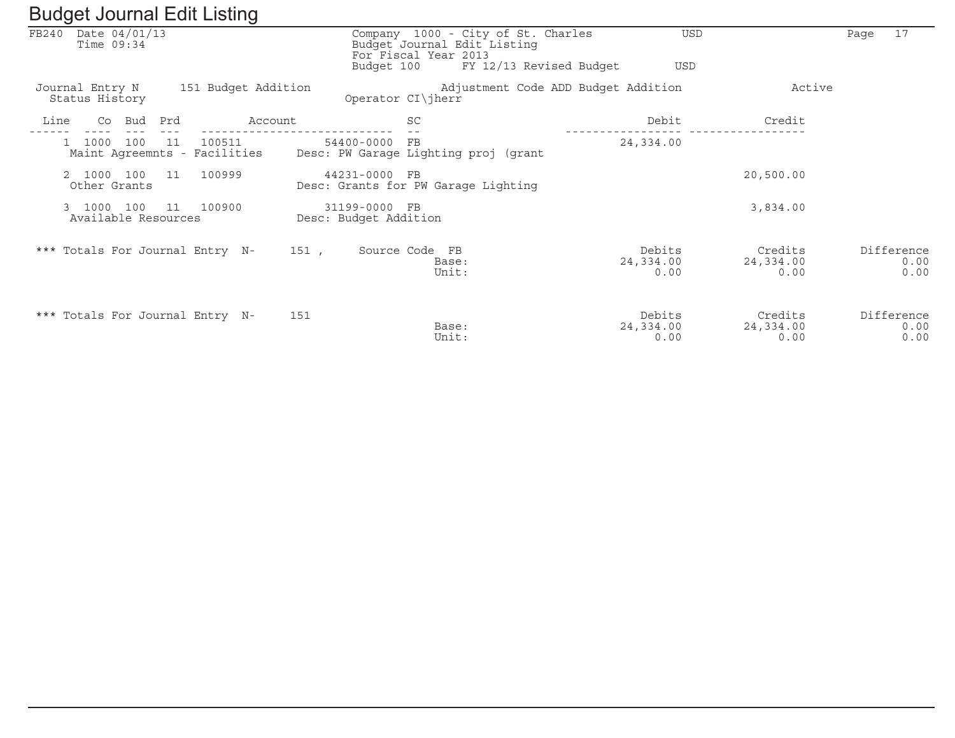| ັ                                      | ັ                                            |                                        |                                                                                                                      |                             |                              |                            |
|----------------------------------------|----------------------------------------------|----------------------------------------|----------------------------------------------------------------------------------------------------------------------|-----------------------------|------------------------------|----------------------------|
| Date 04/01/13<br>FB240<br>Time $09:34$ |                                              | Budget 100                             | Company 1000 - City of St. Charles<br>Budget Journal Edit Listing<br>For Fiscal Year 2013<br>FY 12/13 Revised Budget | <b>USD</b><br><b>USD</b>    |                              | 17<br>Page                 |
| Journal Entry N<br>Status History      | 151 Budget Addition                          | Operator CI\jherr                      | Adjustment Code ADD Budget Addition                                                                                  |                             | Active                       |                            |
| Line<br>Co<br>Bud                      | Prd<br>Account                               |                                        | SC                                                                                                                   | Debit                       | Credit                       |                            |
| 100<br>1000                            | 100511<br>11<br>Maint Agreemnts - Facilities | 54400-0000                             | FE<br>Desc: PW Garage Lighting proj (grant                                                                           | 24,334.00                   |                              |                            |
| 2 1000 100<br>Other Grants             | 100999<br>11                                 | 44231-0000 FB                          | Desc: Grants for PW Garage Lighting                                                                                  |                             | 20,500.00                    |                            |
| 100<br>3 1000<br>Available Resources   | 100900<br>11                                 | 31199-0000 FB<br>Desc: Budget Addition |                                                                                                                      |                             | 3,834.00                     |                            |
| *** Totals For Journal Entry N-        |                                              | 151 ,                                  | Source Code FB<br>Base:<br>Unit:                                                                                     | Debits<br>24,334.00<br>0.00 | Credits<br>24,334.00<br>0.00 | Difference<br>0.00<br>0.00 |
| *** Totals For Journal Entry N-        |                                              | 151                                    | Base:<br>Unit:                                                                                                       | Debits<br>24,334.00<br>0.00 | Credits<br>24,334.00<br>0.00 | Difference<br>0.00<br>0.00 |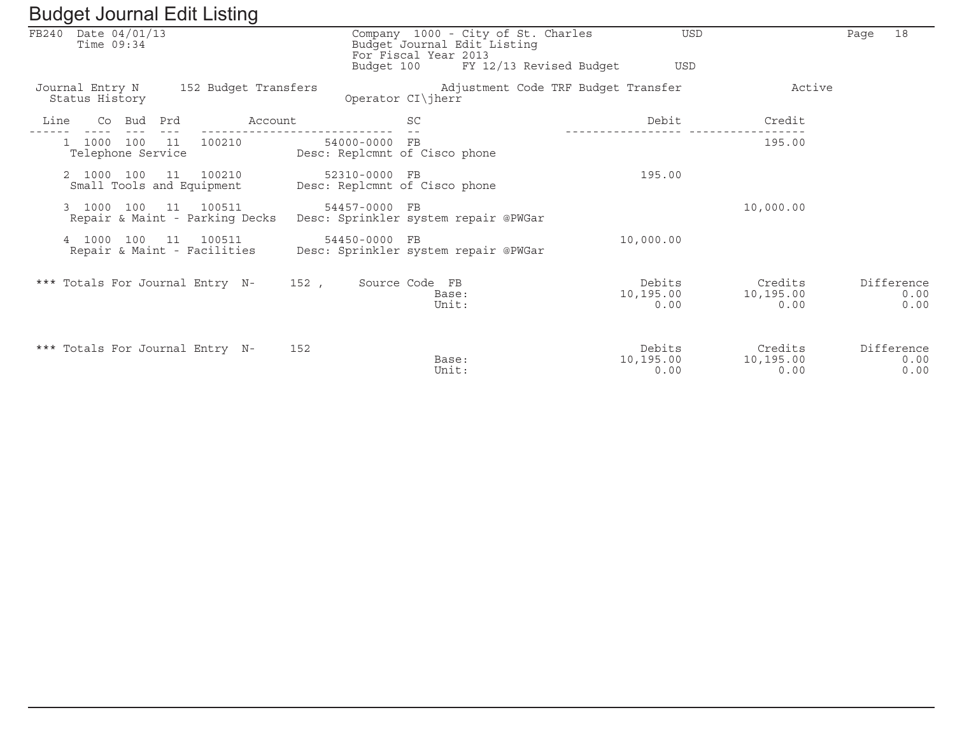|                                        | ັ                                              |               |                                                                                                                      |                             |                              |                            |
|----------------------------------------|------------------------------------------------|---------------|----------------------------------------------------------------------------------------------------------------------|-----------------------------|------------------------------|----------------------------|
| Date 04/01/13<br>FB240<br>Time $09:34$ |                                                | Budget 100    | Company 1000 - City of St. Charles<br>Budget Journal Edit Listing<br>For Fiscal Year 2013<br>FY 12/13 Revised Budget | USD<br><b>USD</b>           |                              | 18<br>Page                 |
| Journal Entry N<br>Status History      | 152 Budget Transfers                           |               | Adjustment Code TRF Budget Transfer<br>Operator CI\jherr                                                             |                             | Active                       |                            |
| Co Bud<br>Line                         | Account<br>Prd                                 |               | <b>SC</b>                                                                                                            | Debit                       | Credit                       |                            |
| 1000 100<br>Telephone Service          | 100210<br>11                                   | 54000-0000 FB | Desc: Replamnt of Cisco phone                                                                                        |                             | 195.00                       |                            |
| 2 1000 100                             | 11<br>100210<br>Small Tools and Equipment      | 52310-0000 FB | Desc: Replamnt of Cisco phone                                                                                        | 195.00                      |                              |                            |
| 3 1000 100                             | 100511<br>11<br>Repair & Maint - Parking Decks | 54457-0000 FB | Desc: Sprinkler system repair @PWGar                                                                                 |                             | 10,000.00                    |                            |
| 4 1000<br>100                          | 11<br>100511<br>Repair & Maint - Facilities    | 54450-0000 FB | Desc: Sprinkler system repair @PWGar                                                                                 | 10,000.00                   |                              |                            |
| *** Totals For Journal Entry N-        |                                                | 152.          | Source Code FB<br>Base:<br>Unit:                                                                                     | Debits<br>10,195.00<br>0.00 | Credits<br>10,195.00<br>0.00 | Difference<br>0.00<br>0.00 |
| *** Totals For Journal Entry N-        |                                                | 152           | Base:<br>Unit:                                                                                                       | Debits<br>10,195.00<br>0.00 | Credits<br>10,195.00<br>0.00 | Difference<br>0.00<br>0.00 |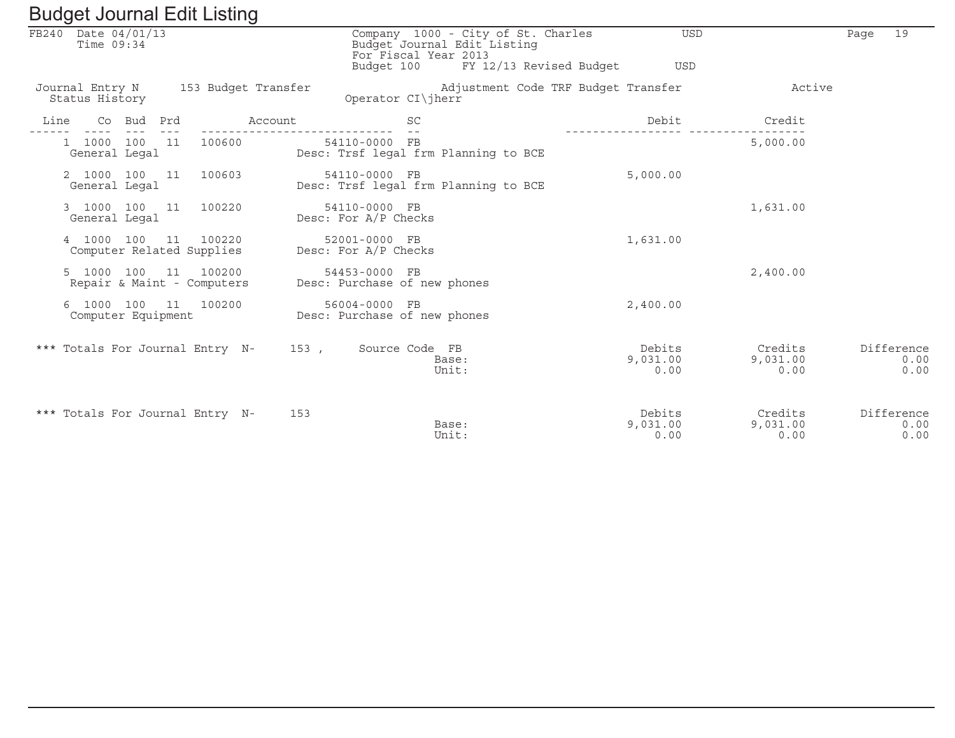|      |                                   |            | Daugot boarnar Luit Libting                        |                                     |                                               |                                                                                              |                            |                             |      |                            |
|------|-----------------------------------|------------|----------------------------------------------------|-------------------------------------|-----------------------------------------------|----------------------------------------------------------------------------------------------|----------------------------|-----------------------------|------|----------------------------|
|      | FB240 Date 04/01/13<br>Time 09:34 |            |                                                    |                                     | For Fiscal Year 2013<br>Budget 100            | Company 1000 - City of St. Charles<br>Budget Journal Edit Listing<br>FY 12/13 Revised Budget | USD<br><b>USD</b>          |                             | Page | 19                         |
|      | Status History                    |            |                                                    | Journal Entry N 153 Budget Transfer | Operator CI\jherr                             | Adjustment Code TRF Budget Transfer                                                          |                            | Active                      |      |                            |
| Line |                                   | Co Bud Prd |                                                    | Account                             | <b>SC</b>                                     |                                                                                              | Debit                      | Credit                      |      |                            |
|      | 1 1000 100 11<br>General Legal    |            | 100600                                             |                                     | 54110-0000 FB                                 | Desc: Trsf legal frm Planning to BCE                                                         |                            | 5,000.00                    |      |                            |
|      | General Legal                     |            | 2 1000 100 11 100603                               |                                     | 54110-0000 FB                                 | Desc: Trsf legal frm Planning to BCE                                                         | 5,000.00                   |                             |      |                            |
|      | General Legal                     |            | 3 1000 100 11 100220                               |                                     | 54110-0000 FB<br>Desc: For A/P Checks         |                                                                                              |                            | 1,631.00                    |      |                            |
|      | 4 1000 100                        |            | 11 100220<br>Computer Related Supplies             |                                     | 52001-0000 FB<br>Desc: For A/P Checks         |                                                                                              | 1,631.00                   |                             |      |                            |
|      |                                   |            | 5 1000 100 11 100200<br>Repair & Maint - Computers |                                     | 54453-0000 FB<br>Desc: Purchase of new phones |                                                                                              |                            | 2,400.00                    |      |                            |
|      | Computer Equipment                |            | 6 1000 100 11 100200                               |                                     | 56004-0000 FB<br>Desc: Purchase of new phones |                                                                                              | 2,400.00                   |                             |      |                            |
|      |                                   |            | *** Totals For Journal Entry N-                    | 153 ,                               | Source Code FB                                | Base:<br>Unit:                                                                               | Debits<br>9,031.00<br>0.00 | Credits<br>9,031.00<br>0.00 |      | Difference<br>0.00<br>0.00 |
|      |                                   |            | *** Totals For Journal Entry N-                    | 153                                 |                                               | Base:<br>Unit:                                                                               | Debits<br>9,031.00<br>0.00 | Credits<br>9,031.00<br>0.00 |      | Difference<br>0.00<br>0.00 |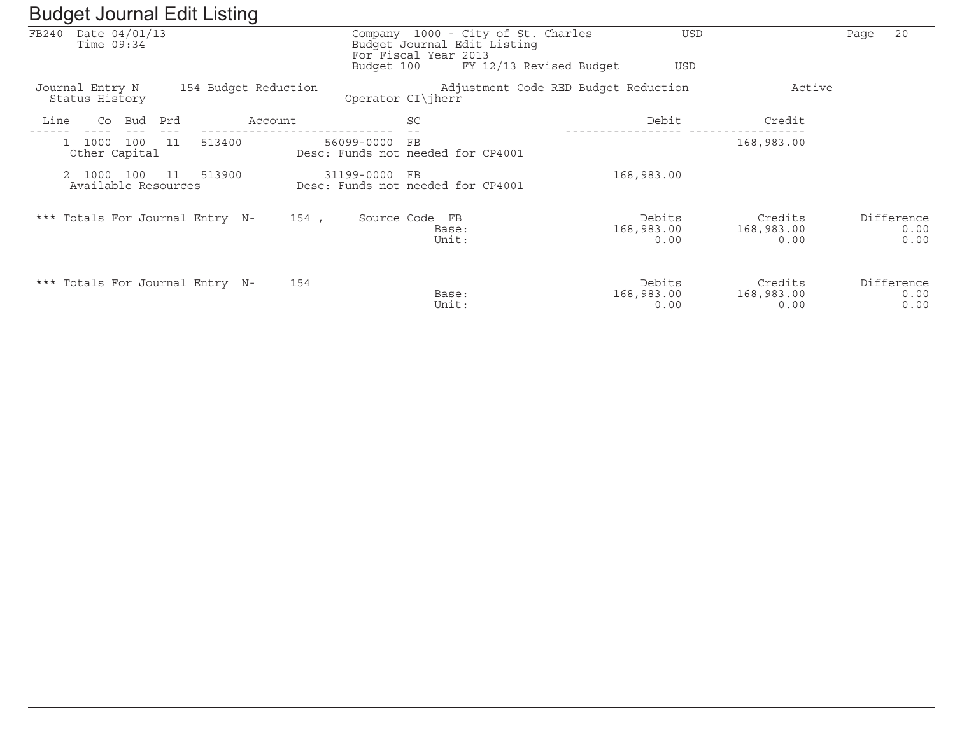| ັ                                 |                                 |                                 | ັ                    |            |                                                     |                                    |                                      |                               |                            |
|-----------------------------------|---------------------------------|---------------------------------|----------------------|------------|-----------------------------------------------------|------------------------------------|--------------------------------------|-------------------------------|----------------------------|
| FB240                             | Date $04/01/13$<br>Time $09:34$ |                                 |                      |            | Budget Journal Edit Listing<br>For Fiscal Year 2013 | Company 1000 - City of St. Charles | <b>USD</b>                           |                               | 20<br>Page                 |
|                                   |                                 |                                 |                      | Budget 100 |                                                     | FY 12/13 Revised Budget            | <b>USD</b>                           |                               |                            |
| Journal Entry N<br>Status History |                                 |                                 | 154 Budget Reduction |            | Operator CI\jherr                                   |                                    | Adjustment Code RED Budget Reduction | Active                        |                            |
| Line                              | Bud<br>Co                       | Prd                             | Account              |            | <b>SC</b>                                           |                                    | Debit                                | Credit                        |                            |
| 1000                              | 100<br>Other Capital            | 11<br>513400                    |                      | 56099-0000 | FB<br>Desc: Funds not needed for CP4001             |                                    |                                      | 168,983.00                    |                            |
| 1000                              | 100<br>Available Resources      | 513900<br>- 11                  |                      | 31199-0000 | $_{\rm FB}$<br>Desc: Funds not needed for CP4001    |                                    | 168,983.00                           |                               |                            |
|                                   |                                 | *** Totals For Journal Entry N- | 154 ,                |            | Source Code FB<br>Base:<br>Unit:                    |                                    | Debits<br>168,983.00<br>0.00         | Credits<br>168,983.00<br>0.00 | Difference<br>0.00<br>0.00 |
|                                   |                                 | *** Totals For Journal Entry N- | 154                  |            | Base:<br>Unit:                                      |                                    | Debits<br>168,983.00<br>0.00         | Credits<br>168,983.00<br>0.00 | Difference<br>0.00<br>0.00 |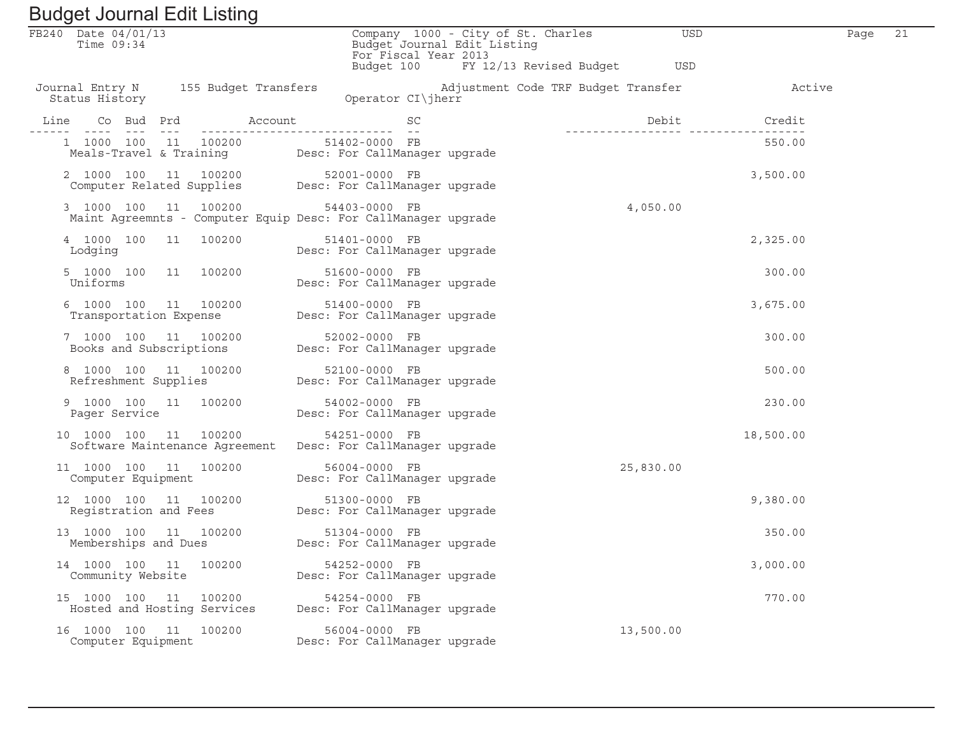| Baagot boarnar Eant Elbarry<br>FB240 Date 04/01/13                                            | Company 1000 - City of St. Charles                                                            | USD                                 |           | 21<br>Page |  |
|-----------------------------------------------------------------------------------------------|-----------------------------------------------------------------------------------------------|-------------------------------------|-----------|------------|--|
| Time $09:34$                                                                                  | Budget Journal Edit Listing<br>For Fiscal Year 2013<br>Budget 100 FY 12/13 Revised Budget USD |                                     |           |            |  |
| Journal Entry N 155 Budget Transfers<br>Status History                                        | Operator CI\jherr                                                                             | Adjustment Code TRF Budget Transfer | Active    |            |  |
|                                                                                               |                                                                                               | Debit                               | Credit    |            |  |
| 1 1000 100 11 100200 51402-0000 FB<br>Meals-Travel & Training Desc: For CallManager upgrade   |                                                                                               |                                     | 550.00    |            |  |
| 2 1000 100 11 100200 52001-0000 FB<br>Computer Related Supplies Desc: For CallManager upgrade |                                                                                               |                                     | 3,500.00  |            |  |
| 3 1000 100 11 100200<br>Maint Agreemnts - Computer Equip Desc: For CallManager upgrade        | 54403-0000 FB                                                                                 | 4,050.00                            |           |            |  |
| 4 1000 100 11 100200<br>Lodging                                                               | 51401-0000 FB<br>Desc: For CallManager upgrade                                                |                                     | 2,325.00  |            |  |
| 5 1000 100 11 100200<br>Uniforms                                                              | 51600-0000 FB<br>blbuu-uuuu<br>Desc: For CallManager upgrade                                  |                                     | 300.00    |            |  |
| 6 1000 100 11 100200 51400-0000 FB<br>Transportation Expense Desc: For CallManager upgrade    |                                                                                               |                                     | 3,675.00  |            |  |
| 7 1000 100 11 100200 52002-0000 FB<br>Books and Subscriptions Desc: For CallManager upgrade   |                                                                                               |                                     | 300.00    |            |  |
| 8 1000 100 11 100200<br>Refreshment Supplies Desc: For CallManager upgrade                    | 52100-0000 FB                                                                                 |                                     | 500.00    |            |  |
| 9 1000 100 11 100200<br>Pager Service                                                         | 54002-0000 FB<br>54002-0000 FD<br>Desc: For CallManager upgrade                               |                                     | 230.00    |            |  |
| 10 1000 100 11 100200                                                                         | 54251-0000 FB<br>Software Maintenance Agreement  Desc: For CallManager upgrade                |                                     | 18,500.00 |            |  |
| 11 1000 100 11 100200<br>Computer Equipment                                                   | 56004-0000 FB<br>Desc: For CallManager upgrade                                                | 25,830.00                           |           |            |  |
| 12 1000 100 11 100200<br>Registration and Fees Desc: For CallManager upgrade                  | 51300-0000 FB                                                                                 |                                     | 9,380.00  |            |  |
|                                                                                               |                                                                                               |                                     | 350.00    |            |  |
| 14 1000 100 11<br>100200<br>Community Website                                                 | 54252-0000 FB<br>Desc: For CallManager upgrade                                                |                                     | 3,000.00  |            |  |
| 100200<br>15 1000 100 11<br>Hosted and Hosting Services                                       | 54254-0000 FB<br>Desc: For CallManager upgrade                                                |                                     | 770.00    |            |  |
| 16 1000 100 11<br>100200<br>Computer Equipment                                                | 56004-0000 FB<br>Desc: For CallManager upgrade                                                | 13,500.00                           |           |            |  |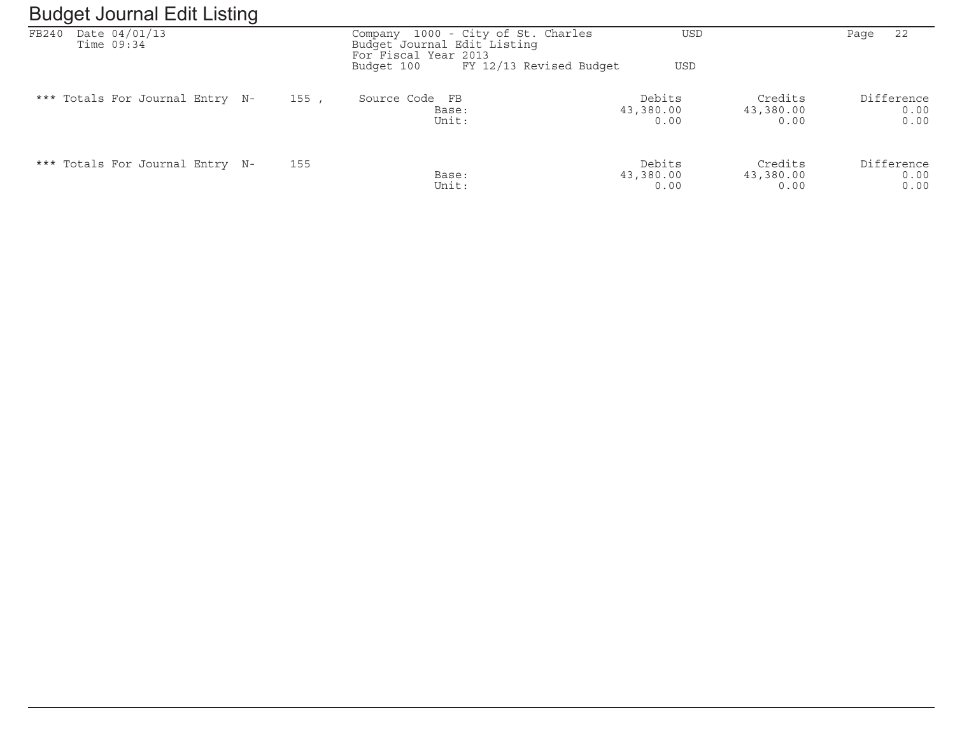#### Budget Journal Edit ListingFB240 Date 04/01/13 Company 1000 - City of St. Charles USD Page 22 Time 09:34 Budget Journal Edit ListingFor Fiscal Year 2013<br>Budget 100 FY 12 Budget 100 FY 12/13 Revised Budget USD\*\*\* Totals For Journal Entry N- 155, Source Code FB 1999 (Debits Credits Difference 1999)<br>0.00 0.00 13,380.00 0.00 Base: 13,380.00 13,380.00 13,380.00 0.00 Base: 43,380.00 43,380.00 0.00Unit: 0.00 0.00 0.00

| *** Totals For Journal Entry N- | 155 |       | Debits    | Credits   | Difference |
|---------------------------------|-----|-------|-----------|-----------|------------|
|                                 |     | Base: | 43,380.00 | 43,380.00 | 0.00       |
|                                 |     | Unit: | 0.00      | 0.00      | 0.00       |

 $0.00$ 

 $0.00$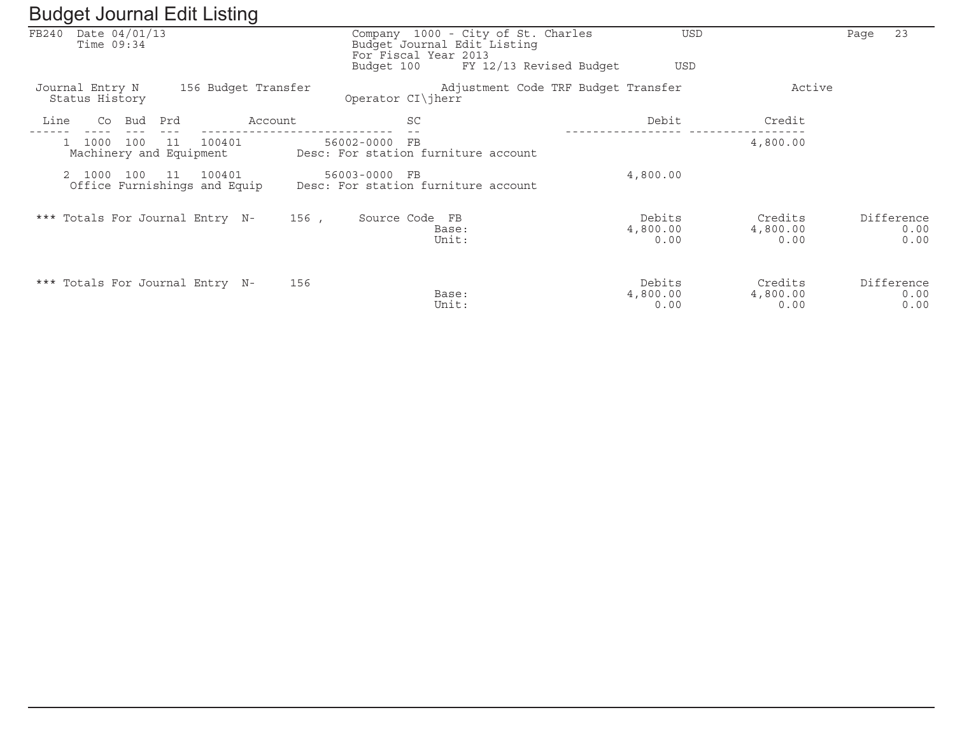|       | ັ                                      | ັ                                            |            |                                                                                           |                                       |                             |                            |
|-------|----------------------------------------|----------------------------------------------|------------|-------------------------------------------------------------------------------------------|---------------------------------------|-----------------------------|----------------------------|
| FB240 | Date 04/01/13<br>Time $09:34$          |                                              |            | Company 1000 - City of St. Charles<br>Budget Journal Edit Listing<br>For Fiscal Year 2013 | USD                                   |                             | 23<br>Page                 |
|       |                                        |                                              |            | Budget 100                                                                                | FY 12/13 Revised Budget<br><b>USD</b> |                             |                            |
|       | Journal Entry N<br>Status History      | 156 Budget Transfer                          |            | Operator CI\jherr                                                                         | Adjustment Code TRF Budget Transfer   | Active                      |                            |
| Line  | Bud<br>Co                              | Prd                                          | Account    | SC                                                                                        | Debit                                 | Credit                      |                            |
|       | 1000<br>100<br>Machinery and Equipment | 100401<br>11                                 | 56002-0000 | FB<br>Desc: For station furniture account                                                 |                                       | 4,800.00                    |                            |
|       | 2 1000<br>100                          | 100401<br>11<br>Office Furnishings and Equip |            | 56003-0000 FB<br>Desc: For station furniture account                                      | 4,800.00                              |                             |                            |
|       |                                        | *** Totals For Journal Entry N-              | 156,       | Source Code FB<br>Base:<br>Unit:                                                          | Debits<br>4,800.00<br>0.00            | Credits<br>4,800.00<br>0.00 | Difference<br>0.00<br>0.00 |
|       |                                        | *** Totals For Journal Entry N-              | 156        | Base:<br>Unit:                                                                            | Debits<br>4,800.00<br>0.00            | Credits<br>4,800.00<br>0.00 | Difference<br>0.00<br>0.00 |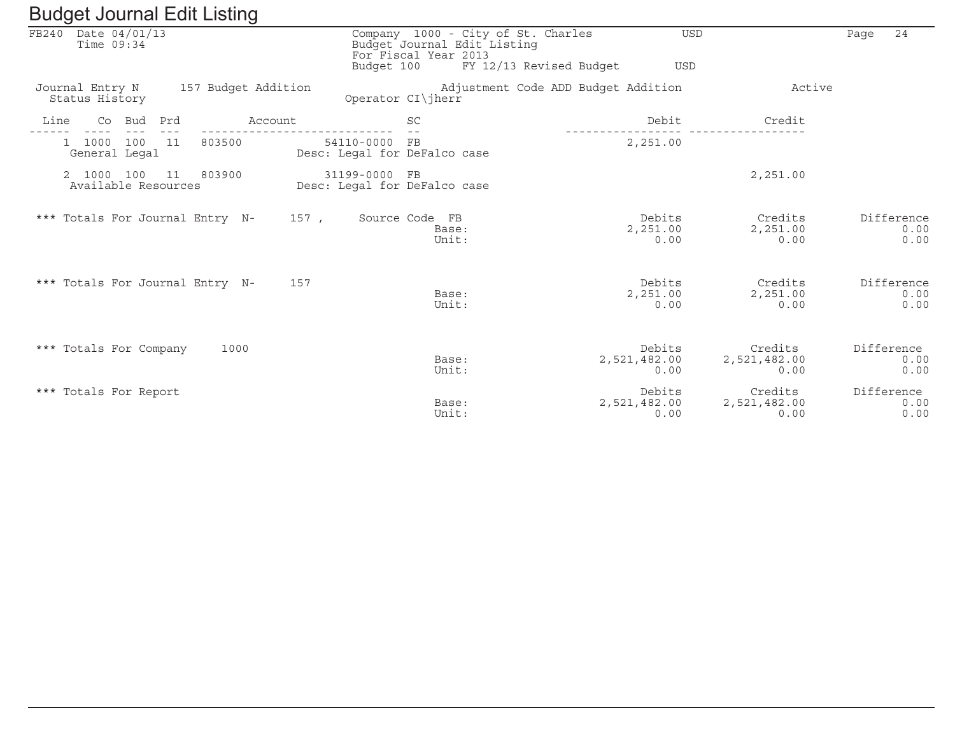| FB240 Date 04/01/13<br>Time $09:34$                   | Budget 100                                    | Company 1000 - City of St. Charles<br>Budget Journal Edit Listing<br>For Fiscal Year 2013<br>FY 12/13 Revised Budget | <b>USD</b><br><b>USD</b>       |                                 | 24<br>Page                 |
|-------------------------------------------------------|-----------------------------------------------|----------------------------------------------------------------------------------------------------------------------|--------------------------------|---------------------------------|----------------------------|
| Journal Entry N 157 Budget Addition<br>Status History |                                               | Adjustment Code ADD Budget Addition<br>Operator CI\jherr                                                             |                                | Active                          |                            |
| Line<br>Co Bud Prd                                    | Account                                       | <b>SC</b>                                                                                                            | Debit                          | Credit                          |                            |
| 1 1000 100 11<br>803500<br>General Legal              | 54110-0000 FB<br>Desc: Legal for DeFalco case |                                                                                                                      | 2,251.00                       |                                 |                            |
| 2 1000 100 11 803900<br>Available Resources           | 31199-0000 FB<br>Desc: Legal for DeFalco case |                                                                                                                      |                                | 2,251.00                        |                            |
| *** Totals For Journal Entry N- 157, Source Code FB   |                                               | Base:<br>Unit:                                                                                                       | Debits<br>2,251.00<br>0.00     | Credits<br>2,251.00<br>0.00     | Difference<br>0.00<br>0.00 |
| *** Totals For Journal Entry N-                       | 157                                           | Base:<br>Unit:                                                                                                       | Debits<br>2,251.00<br>0.00     | Credits<br>2,251.00<br>0.00     | Difference<br>0.00<br>0.00 |
| *** Totals For Company                                | 1000                                          | Base:<br>Unit:                                                                                                       | Debits<br>2,521,482.00<br>0.00 | Credits<br>2,521,482.00<br>0.00 | Difference<br>0.00<br>0.00 |
| *** Totals For Report                                 |                                               | Base:<br>Unit:                                                                                                       | Debits<br>2,521,482.00<br>0.00 | Credits<br>2,521,482.00<br>0.00 | Difference<br>0.00<br>0.00 |